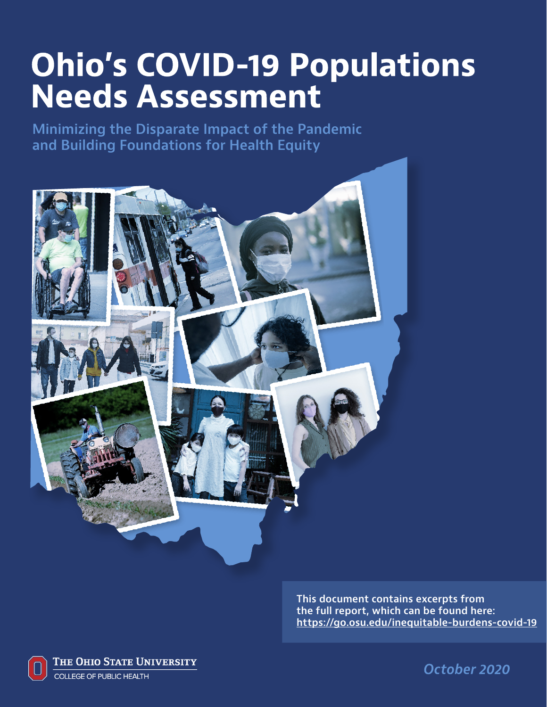## **Ohio's COVID-19 Populations Needs Assessment**

**Minimizing the Disparate Impact of the Pandemic and Building Foundations for Health Equity**



**This document contains excerpts from the full report, which can be found here: https://go.osu.edu/inequitable-burdens-covid-19**



THE OHIO STATE UNIVERSITY **COLLEGE OF PUBLIC HEALTH** 

October 2020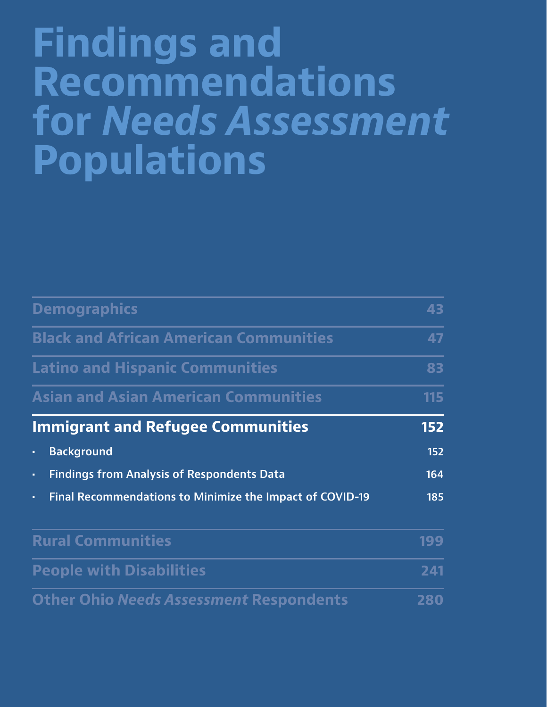# **Findings and Recommendations for** *Needs Assessment*  **Populations**

| <b>Demographics</b>                                            |     |
|----------------------------------------------------------------|-----|
| <b>Black and African American Communities</b>                  |     |
| <b>Latino and Hispanic Communities</b>                         | 83  |
| <b>Asian and Asian American Communities</b>                    | 115 |
| <b>Immigrant and Refugee Communities</b>                       | 152 |
| <b>Background</b><br>ò,                                        | 152 |
| <b>Findings from Analysis of Respondents Data</b><br>ä,        | 164 |
| Final Recommendations to Minimize the Impact of COVID-19<br>ä, | 185 |
| <b>Rural Communities</b>                                       | 199 |
| <b>People with Disabilities</b>                                | 241 |
| <b>Other Ohio Needs Assessment Respondents</b>                 | 280 |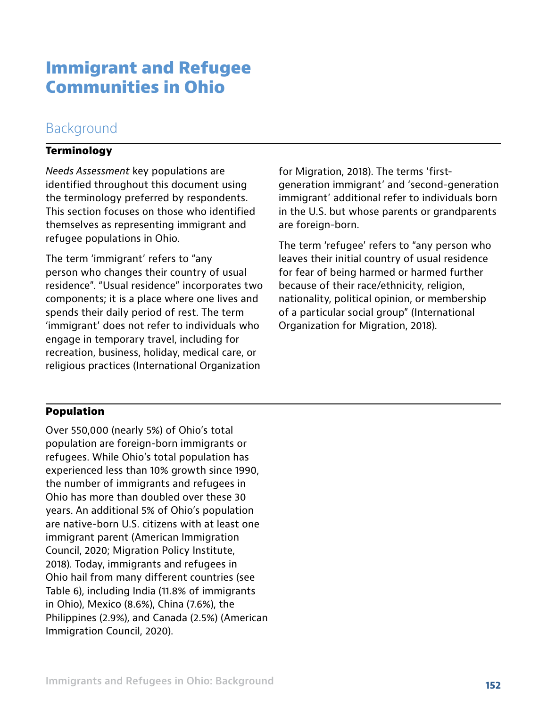## **Immigrant and Refugee Communities in Ohio**

## Background

#### **Terminology**

*Needs Assessment* key populations are identified throughout this document using the terminology preferred by respondents. This section focuses on those who identified themselves as representing immigrant and refugee populations in Ohio.

The term 'immigrant' refers to "any person who changes their country of usual residence". "Usual residence" incorporates two components; it is a place where one lives and spends their daily period of rest. The term 'immigrant' does not refer to individuals who engage in temporary travel, including for recreation, business, holiday, medical care, or religious practices (International Organization

for Migration, 2018). The terms 'firstgeneration immigrant' and 'second-generation immigrant' additional refer to individuals born in the U.S. but whose parents or grandparents are foreign-born.

The term 'refugee' refers to "any person who leaves their initial country of usual residence for fear of being harmed or harmed further because of their race/ethnicity, religion, nationality, political opinion, or membership of a particular social group" (International Organization for Migration, 2018).

#### **Population**

Over 550,000 (nearly 5%) of Ohio's total population are foreign-born immigrants or refugees. While Ohio's total population has experienced less than 10% growth since 1990, the number of immigrants and refugees in Ohio has more than doubled over these 30 years. An additional 5% of Ohio's population are native-born U.S. citizens with at least one immigrant parent (American Immigration Council, 2020; Migration Policy Institute, 2018). Today, immigrants and refugees in Ohio hail from many different countries (see Table 6), including India (11.8% of immigrants in Ohio), Mexico (8.6%), China (7.6%), the Philippines (2.9%), and Canada (2.5%) (American Immigration Council, 2020).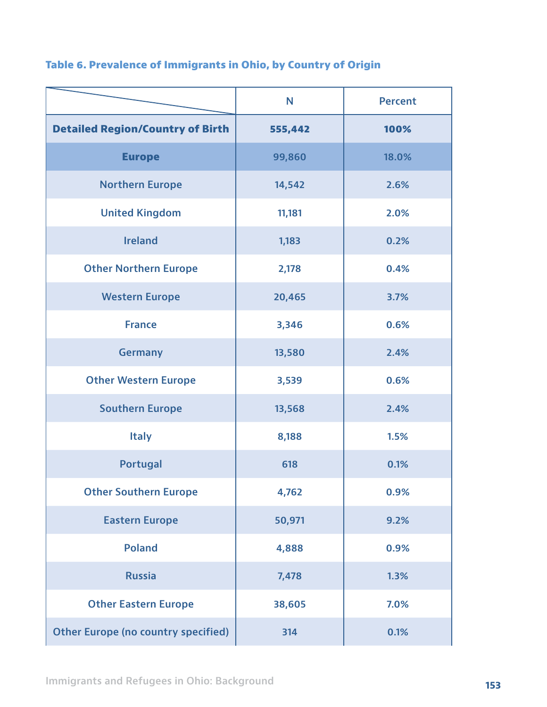|                                            | N       | <b>Percent</b> |
|--------------------------------------------|---------|----------------|
| <b>Detailed Region/Country of Birth</b>    | 555,442 | 100%           |
| <b>Europe</b>                              | 99,860  | 18.0%          |
| <b>Northern Europe</b>                     | 14,542  | 2.6%           |
| <b>United Kingdom</b>                      | 11,181  | 2.0%           |
| <b>Ireland</b>                             | 1,183   | 0.2%           |
| <b>Other Northern Europe</b>               | 2,178   | 0.4%           |
| <b>Western Europe</b>                      | 20,465  | 3.7%           |
| <b>France</b>                              | 3,346   | 0.6%           |
| <b>Germany</b>                             | 13,580  | 2.4%           |
| <b>Other Western Europe</b>                | 3,539   | 0.6%           |
| <b>Southern Europe</b>                     | 13,568  | 2.4%           |
| <b>Italy</b>                               | 8,188   | 1.5%           |
| <b>Portugal</b>                            | 618     | 0.1%           |
| <b>Other Southern Europe</b>               | 4,762   | 0.9%           |
| <b>Eastern Europe</b>                      | 50,971  | 9.2%           |
| <b>Poland</b>                              | 4,888   | 0.9%           |
| <b>Russia</b>                              | 7,478   | 1.3%           |
| <b>Other Eastern Europe</b>                | 38,605  | 7.0%           |
| <b>Other Europe (no country specified)</b> | 314     | 0.1%           |

## **Table 6. Prevalence of Immigrants in Ohio, by Country of Origin**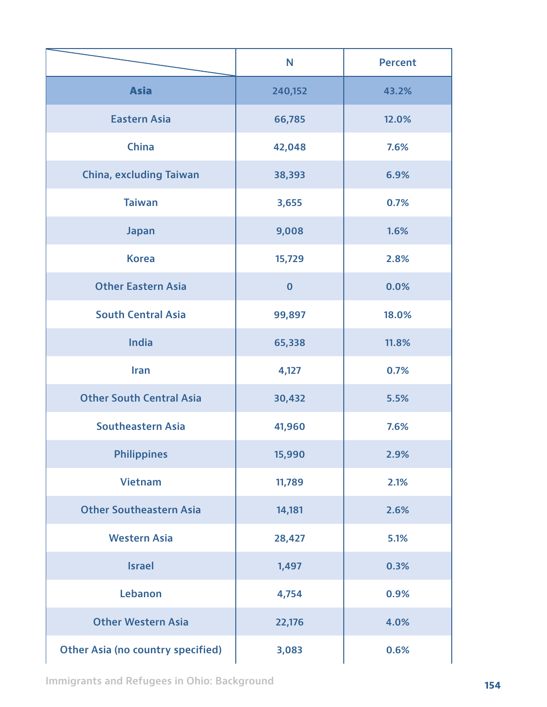|                                          | N        | <b>Percent</b> |
|------------------------------------------|----------|----------------|
| <b>Asia</b>                              | 240,152  | 43.2%          |
| <b>Eastern Asia</b>                      | 66,785   | 12.0%          |
| <b>China</b>                             | 42,048   | 7.6%           |
| <b>China, excluding Taiwan</b>           | 38,393   | 6.9%           |
| <b>Taiwan</b>                            | 3,655    | 0.7%           |
| <b>Japan</b>                             | 9,008    | 1.6%           |
| <b>Korea</b>                             | 15,729   | 2.8%           |
| <b>Other Eastern Asia</b>                | $\bf{0}$ | 0.0%           |
| <b>South Central Asia</b>                | 99,897   | 18.0%          |
| <b>India</b>                             | 65,338   | 11.8%          |
| <b>Iran</b>                              | 4,127    | 0.7%           |
| <b>Other South Central Asia</b>          | 30,432   | 5.5%           |
| <b>Southeastern Asia</b>                 | 41,960   | 7.6%           |
| <b>Philippines</b>                       | 15,990   | 2.9%           |
| <b>Vietnam</b>                           | 11,789   | 2.1%           |
| <b>Other Southeastern Asia</b>           | 14,181   | 2.6%           |
| <b>Western Asia</b>                      | 28,427   | 5.1%           |
| <b>Israel</b>                            | 1,497    | 0.3%           |
| Lebanon                                  | 4,754    | 0.9%           |
| <b>Other Western Asia</b>                | 22,176   | 4.0%           |
| <b>Other Asia (no country specified)</b> | 3,083    | 0.6%           |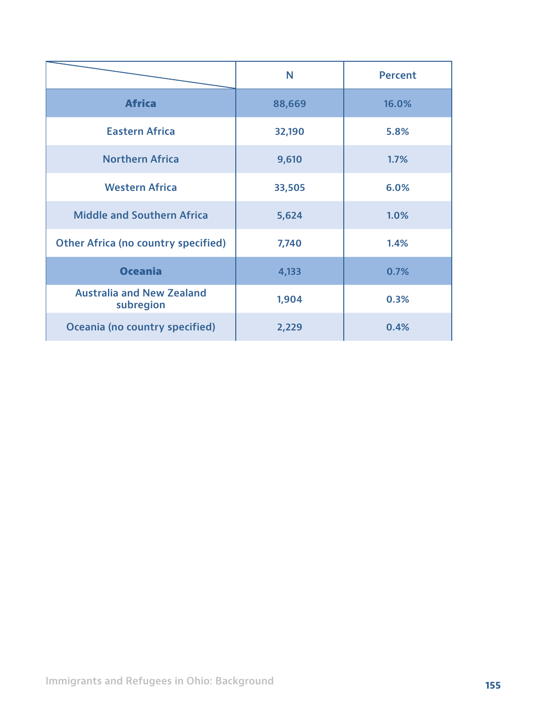|                                               | N      | <b>Percent</b> |
|-----------------------------------------------|--------|----------------|
| <b>Africa</b>                                 | 88,669 | 16.0%          |
| <b>Eastern Africa</b>                         | 32,190 | 5.8%           |
| <b>Northern Africa</b>                        | 9,610  | 1.7%           |
| <b>Western Africa</b>                         | 33,505 | 6.0%           |
| <b>Middle and Southern Africa</b>             | 5,624  | 1.0%           |
| <b>Other Africa (no country specified)</b>    | 7,740  | 1.4%           |
| <b>Oceania</b>                                | 4,133  | 0.7%           |
| <b>Australia and New Zealand</b><br>subregion | 1,904  | 0.3%           |
| Oceania (no country specified)                | 2,229  | 0.4%           |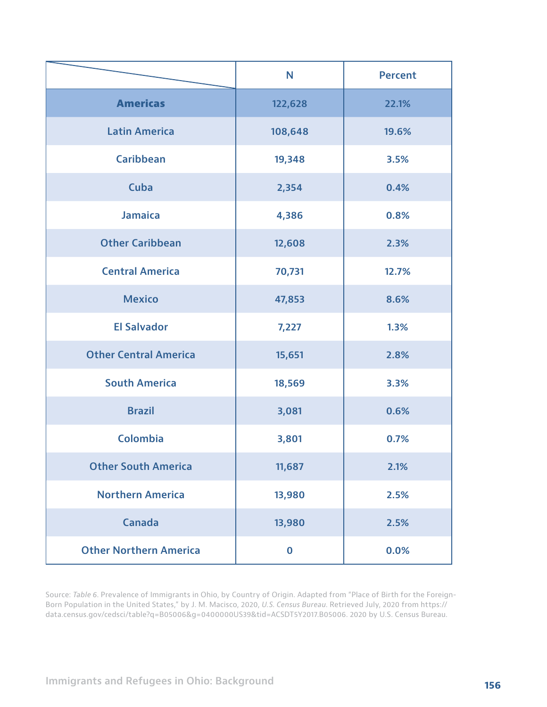|                               | N        | <b>Percent</b> |
|-------------------------------|----------|----------------|
| <b>Americas</b>               | 122,628  | 22.1%          |
| <b>Latin America</b>          | 108,648  | 19.6%          |
| <b>Caribbean</b>              | 19,348   | 3.5%           |
| Cuba                          | 2,354    | 0.4%           |
| <b>Jamaica</b>                | 4,386    | 0.8%           |
| <b>Other Caribbean</b>        | 12,608   | 2.3%           |
| <b>Central America</b>        | 70,731   | 12.7%          |
| <b>Mexico</b>                 | 47,853   | 8.6%           |
| <b>El Salvador</b>            | 7,227    | 1.3%           |
| <b>Other Central America</b>  | 15,651   | 2.8%           |
| <b>South America</b>          | 18,569   | 3.3%           |
| <b>Brazil</b>                 | 3,081    | 0.6%           |
| <b>Colombia</b>               | 3,801    | 0.7%           |
| <b>Other South America</b>    | 11,687   | 2.1%           |
| <b>Northern America</b>       | 13,980   | 2.5%           |
| <b>Canada</b>                 | 13,980   | 2.5%           |
| <b>Other Northern America</b> | $\bf{0}$ | 0.0%           |

Source: *Table 6*. Prevalence of Immigrants in Ohio, by Country of Origin. Adapted from "Place of Birth for the Foreign-Born Population in the United States," by J. M. Macisco, 2020, *U.S. Census Bureau*. Retrieved July, 2020 from https:// data.census.gov/cedsci/table?q=B05006&g=0400000US39&tid=ACSDT5Y2017.B05006. 2020 by U.S. Census Bureau.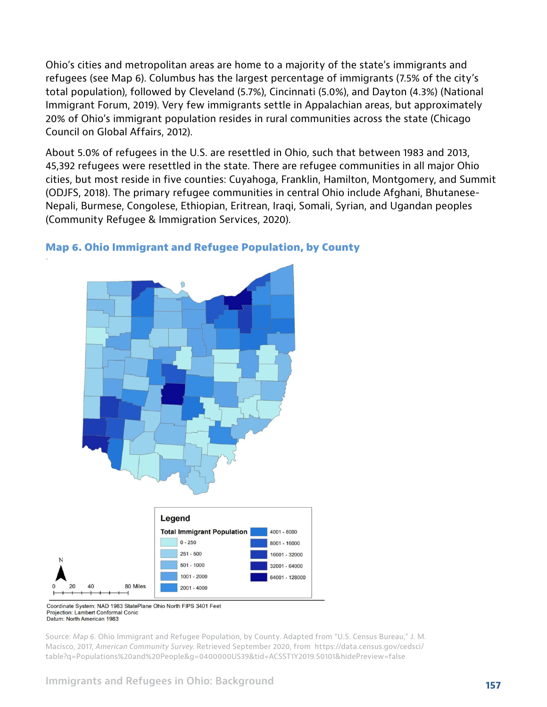Ohio's cities and metropolitan areas are home to a majority of the state's immigrants and refugees (see Map 6). Columbus has the largest percentage of immigrants (7.5% of the city's total population), followed by Cleveland (5.7%), Cincinnati (5.0%), and Dayton (4.3%) (National Immigrant Forum, 2019). Very few immigrants settle in Appalachian areas, but approximately 20% of Ohio's immigrant population resides in rural communities across the state (Chicago Council on Global Affairs, 2012).

About 5.0% of refugees in the U.S. are resettled in Ohio, such that between 1983 and 2013, 45,392 refugees were resettled in the state. There are refugee communities in all major Ohio cities, but most reside in five counties: Cuyahoga, Franklin, Hamilton, Montgomery, and Summit (ODJFS, 2018). The primary refugee communities in central Ohio include Afghani, Bhutanese-Nepali, Burmese, Congolese, Ethiopian, Eritrean, Iraqi, Somali, Syrian, and Ugandan peoples (Community Refugee & Immigration Services, 2020).



#### **Map 6. Ohio Immigrant and Refugee Population, by County**

Coordinate System: NAD 1983 StatePlane Ohio North FIPS 3401 Feet Projection: Lambert Conformal Conic Datum: North American 1983

Source: *Map 6*. Ohio Immigrant and Refugee Population, by County. Adapted from "U.S. Census Bureau," J. M. Macisco, 2017, *American Community Survey*. Retrieved September 2020, from https://data.census.gov/cedsci/ table?q=Populations%20and%20People&g=0400000US39&tid=ACSST1Y2019.S0101&hidePreview=false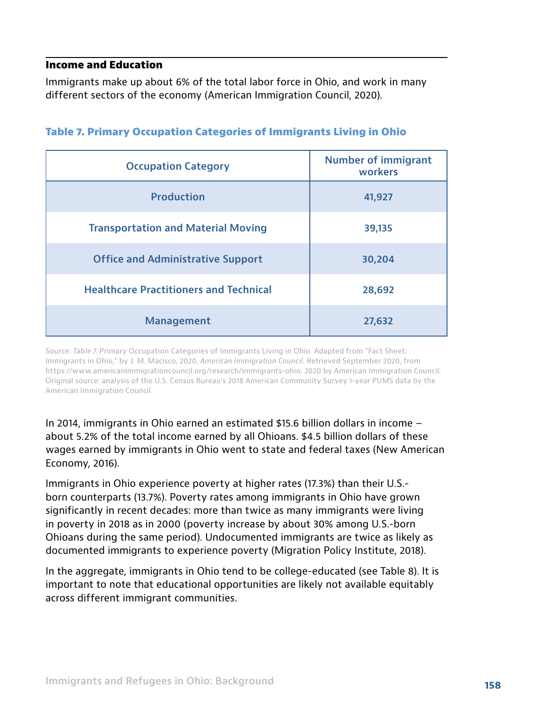#### **Income and Education**

Immigrants make up about 6% of the total labor force in Ohio, and work in many different sectors of the economy (American Immigration Council, 2020).

| <b>Occupation Category</b>                    | <b>Number of immigrant</b><br>workers |
|-----------------------------------------------|---------------------------------------|
| <b>Production</b>                             | 41,927                                |
| <b>Transportation and Material Moving</b>     | 39,135                                |
| <b>Office and Administrative Support</b>      | 30,204                                |
| <b>Healthcare Practitioners and Technical</b> | 28,692                                |
| <b>Management</b>                             | 27,632                                |

#### **Table 7. Primary Occupation Categories of Immigrants Living in Ohio**

Source: *Table 7*. Primary Occupation Categories of Immigrants Living in Ohio. Adapted from "Fact Sheet: Immigrants in Ohio," by J. M. Macisco, 2020, *American Immigration Council*. Retrieved September 2020, from https://www.americanimmigrationcouncil.org/research/immigrants-ohio. 2020 by American Immigration Council. Original source: analysis of the U.S. Census Bureau's 2018 American Community Survey 1-year PUMS data by the American Immigration Council.

In 2014, immigrants in Ohio earned an estimated \$15.6 billion dollars in income – about 5.2% of the total income earned by all Ohioans. \$4.5 billion dollars of these wages earned by immigrants in Ohio went to state and federal taxes (New American Economy, 2016).

Immigrants in Ohio experience poverty at higher rates (17.3%) than their U.S. born counterparts (13.7%). Poverty rates among immigrants in Ohio have grown significantly in recent decades: more than twice as many immigrants were living in poverty in 2018 as in 2000 (poverty increase by about 30% among U.S.-born Ohioans during the same period). Undocumented immigrants are twice as likely as documented immigrants to experience poverty (Migration Policy Institute, 2018).

In the aggregate, immigrants in Ohio tend to be college-educated (see Table 8). It is important to note that educational opportunities are likely not available equitably across different immigrant communities.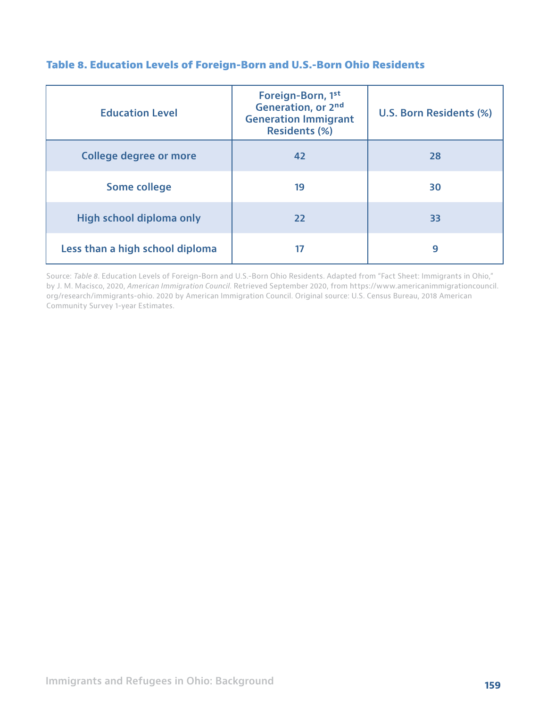| <b>Education Level</b>          | Foreign-Born, 1st<br>Generation, or 2nd<br><b>Generation Immigrant</b><br><b>Residents (%)</b> | U.S. Born Residents (%) |
|---------------------------------|------------------------------------------------------------------------------------------------|-------------------------|
| College degree or more          | 42                                                                                             | 28                      |
| Some college                    | 19                                                                                             | 30                      |
| High school diploma only        | 22                                                                                             | 33                      |
| Less than a high school diploma |                                                                                                | 9                       |

#### **Table 8. Education Levels of Foreign-Born and U.S.-Born Ohio Residents**

Source: *Table 8*. Education Levels of Foreign-Born and U.S.-Born Ohio Residents. Adapted from "Fact Sheet: Immigrants in Ohio," by J. M. Macisco, 2020, *American Immigration Council*. Retrieved September 2020, from https://www.americanimmigrationcouncil. org/research/immigrants-ohio. 2020 by American Immigration Council. Original source: U.S. Census Bureau, 2018 American Community Survey 1-year Estimates.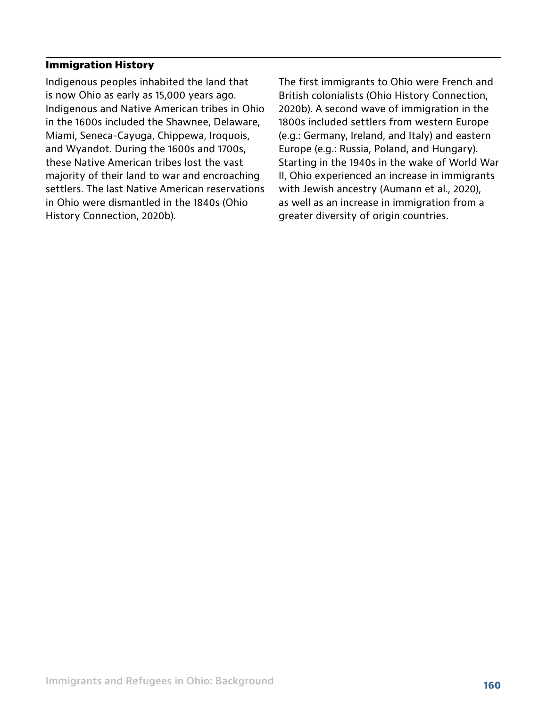#### **Immigration History**

Indigenous peoples inhabited the land that is now Ohio as early as 15,000 years ago. Indigenous and Native American tribes in Ohio in the 1600s included the Shawnee, Delaware, Miami, Seneca-Cayuga, Chippewa, Iroquois, and Wyandot. During the 1600s and 1700s, these Native American tribes lost the vast majority of their land to war and encroaching settlers. The last Native American reservations in Ohio were dismantled in the 1840s (Ohio History Connection, 2020b).

The first immigrants to Ohio were French and British colonialists (Ohio History Connection, 2020b). A second wave of immigration in the 1800s included settlers from western Europe (e.g.: Germany, Ireland, and Italy) and eastern Europe (e.g.: Russia, Poland, and Hungary). Starting in the 1940s in the wake of World War II, Ohio experienced an increase in immigrants with Jewish ancestry (Aumann et al., 2020), as well as an increase in immigration from a greater diversity of origin countries.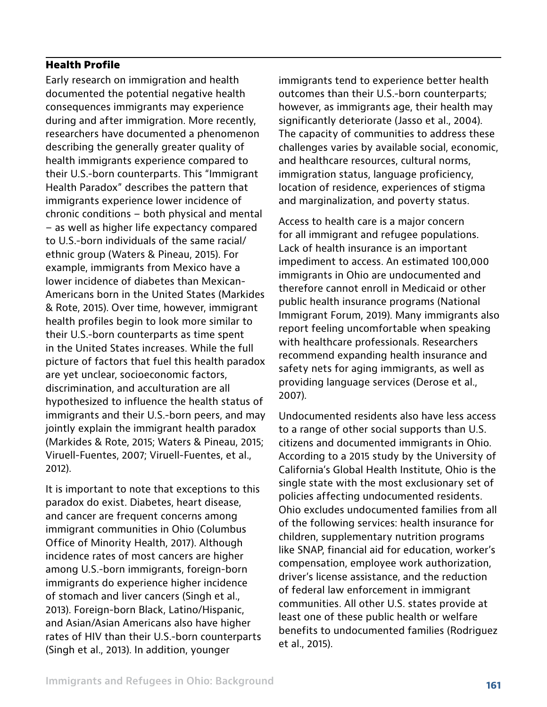#### **Health Profile**

Early research on immigration and health documented the potential negative health consequences immigrants may experience during and after immigration. More recently, researchers have documented a phenomenon describing the generally greater quality of health immigrants experience compared to their U.S.-born counterparts. This "Immigrant Health Paradox" describes the pattern that immigrants experience lower incidence of chronic conditions – both physical and mental – as well as higher life expectancy compared to U.S.-born individuals of the same racial/ ethnic group (Waters & Pineau, 2015). For example, immigrants from Mexico have a lower incidence of diabetes than Mexican-Americans born in the United States (Markides & Rote, 2015). Over time, however, immigrant health profiles begin to look more similar to their U.S.-born counterparts as time spent in the United States increases. While the full picture of factors that fuel this health paradox are yet unclear, socioeconomic factors, discrimination, and acculturation are all hypothesized to influence the health status of immigrants and their U.S.-born peers, and may jointly explain the immigrant health paradox (Markides & Rote, 2015; Waters & Pineau, 2015; Viruell-Fuentes, 2007; Viruell-Fuentes, et al., 2012).

It is important to note that exceptions to this paradox do exist. Diabetes, heart disease, and cancer are frequent concerns among immigrant communities in Ohio (Columbus Office of Minority Health, 2017). Although incidence rates of most cancers are higher among U.S.-born immigrants, foreign-born immigrants do experience higher incidence of stomach and liver cancers (Singh et al., 2013). Foreign-born Black, Latino/Hispanic, and Asian/Asian Americans also have higher rates of HIV than their U.S.-born counterparts (Singh et al., 2013). In addition, younger

immigrants tend to experience better health outcomes than their U.S.-born counterparts; however, as immigrants age, their health may significantly deteriorate (Jasso et al., 2004). The capacity of communities to address these challenges varies by available social, economic, and healthcare resources, cultural norms, immigration status, language proficiency, location of residence, experiences of stigma and marginalization, and poverty status.

Access to health care is a major concern for all immigrant and refugee populations. Lack of health insurance is an important impediment to access. An estimated 100,000 immigrants in Ohio are undocumented and therefore cannot enroll in Medicaid or other public health insurance programs (National Immigrant Forum, 2019). Many immigrants also report feeling uncomfortable when speaking with healthcare professionals. Researchers recommend expanding health insurance and safety nets for aging immigrants, as well as providing language services (Derose et al., 2007).

Undocumented residents also have less access to a range of other social supports than U.S. citizens and documented immigrants in Ohio. According to a 2015 study by the University of California's Global Health Institute, Ohio is the single state with the most exclusionary set of policies affecting undocumented residents. Ohio excludes undocumented families from all of the following services: health insurance for children, supplementary nutrition programs like SNAP, financial aid for education, worker's compensation, employee work authorization, driver's license assistance, and the reduction of federal law enforcement in immigrant communities. All other U.S. states provide at least one of these public health or welfare benefits to undocumented families (Rodriguez et al., 2015).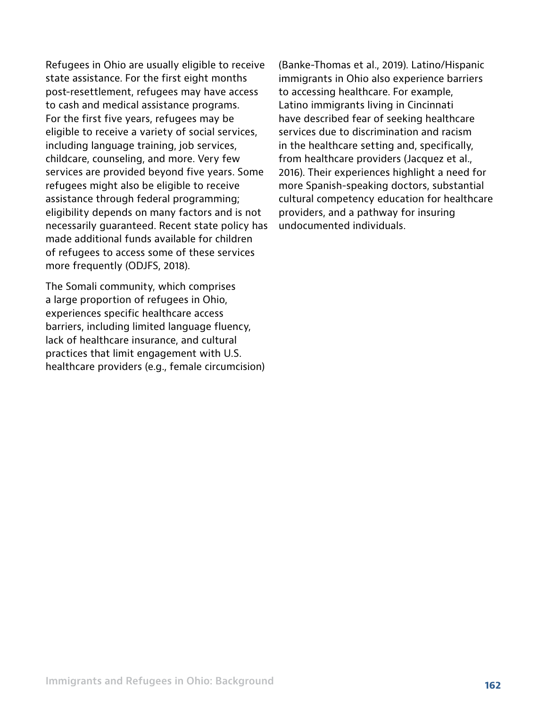Refugees in Ohio are usually eligible to receive state assistance. For the first eight months post-resettlement, refugees may have access to cash and medical assistance programs. For the first five years, refugees may be eligible to receive a variety of social services, including language training, job services, childcare, counseling, and more. Very few services are provided beyond five years. Some refugees might also be eligible to receive assistance through federal programming; eligibility depends on many factors and is not necessarily guaranteed. Recent state policy has made additional funds available for children of refugees to access some of these services more frequently (ODJFS, 2018).

The Somali community, which comprises a large proportion of refugees in Ohio, experiences specific healthcare access barriers, including limited language fluency, lack of healthcare insurance, and cultural practices that limit engagement with U.S. healthcare providers (e.g., female circumcision) (Banke-Thomas et al., 2019). Latino/Hispanic immigrants in Ohio also experience barriers to accessing healthcare. For example, Latino immigrants living in Cincinnati have described fear of seeking healthcare services due to discrimination and racism in the healthcare setting and, specifically, from healthcare providers (Jacquez et al., 2016). Their experiences highlight a need for more Spanish-speaking doctors, substantial cultural competency education for healthcare providers, and a pathway for insuring undocumented individuals.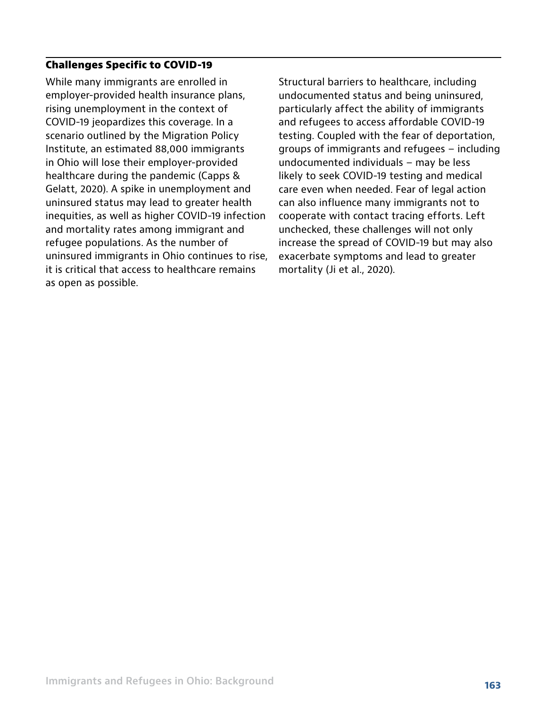#### **Challenges Specific to COVID-19**

While many immigrants are enrolled in employer-provided health insurance plans, rising unemployment in the context of COVID-19 jeopardizes this coverage. In a scenario outlined by the Migration Policy Institute, an estimated 88,000 immigrants in Ohio will lose their employer-provided healthcare during the pandemic (Capps & Gelatt, 2020). A spike in unemployment and uninsured status may lead to greater health inequities, as well as higher COVID-19 infection and mortality rates among immigrant and refugee populations. As the number of uninsured immigrants in Ohio continues to rise, it is critical that access to healthcare remains as open as possible.

Structural barriers to healthcare, including undocumented status and being uninsured, particularly affect the ability of immigrants and refugees to access affordable COVID-19 testing. Coupled with the fear of deportation, groups of immigrants and refugees – including undocumented individuals – may be less likely to seek COVID-19 testing and medical care even when needed. Fear of legal action can also influence many immigrants not to cooperate with contact tracing efforts. Left unchecked, these challenges will not only increase the spread of COVID-19 but may also exacerbate symptoms and lead to greater mortality (Ji et al., 2020).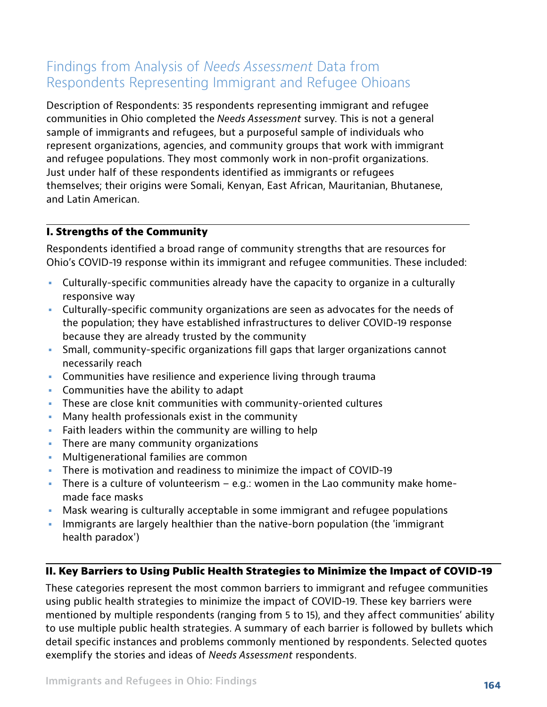## Findings from Analysis of *Needs Assessment* Data from Respondents Representing Immigrant and Refugee Ohioans

Description of Respondents: 35 respondents representing immigrant and refugee communities in Ohio completed the *Needs Assessment* survey. This is not a general sample of immigrants and refugees, but a purposeful sample of individuals who represent organizations, agencies, and community groups that work with immigrant and refugee populations. They most commonly work in non-profit organizations. Just under half of these respondents identified as immigrants or refugees themselves; their origins were Somali, Kenyan, East African, Mauritanian, Bhutanese, and Latin American.

#### **I. Strengths of the Community**

Respondents identified a broad range of community strengths that are resources for Ohio's COVID-19 response within its immigrant and refugee communities. These included:

- **•** Culturally-specific communities already have the capacity to organize in a culturally responsive way
- **•** Culturally-specific community organizations are seen as advocates for the needs of the population; they have established infrastructures to deliver COVID-19 response because they are already trusted by the community
- **•** Small, community-specific organizations fill gaps that larger organizations cannot necessarily reach
- **•** Communities have resilience and experience living through trauma
- **•** Communities have the ability to adapt
- **•** These are close knit communities with community-oriented cultures
- **•** Many health professionals exist in the community
- **•** Faith leaders within the community are willing to help
- **•** There are many community organizations
- **•** Multigenerational families are common
- **•** There is motivation and readiness to minimize the impact of COVID-19
- **•** There is a culture of volunteerism e.g.: women in the Lao community make homemade face masks
- **•** Mask wearing is culturally acceptable in some immigrant and refugee populations
- **•** Immigrants are largely healthier than the native-born population (the 'immigrant health paradox')

#### **II. Key Barriers to Using Public Health Strategies to Minimize the Impact of COVID-19**

These categories represent the most common barriers to immigrant and refugee communities using public health strategies to minimize the impact of COVID-19. These key barriers were mentioned by multiple respondents (ranging from 5 to 15), and they affect communities' ability to use multiple public health strategies. A summary of each barrier is followed by bullets which detail specific instances and problems commonly mentioned by respondents. Selected quotes exemplify the stories and ideas of *Needs Assessment* respondents.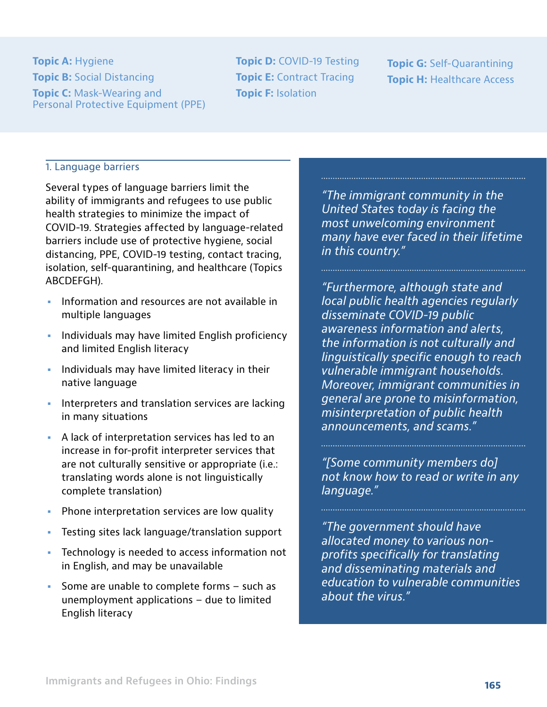**Topic A: Hygiene Topic B:** Social Distancing **Topic C:** Mask-Wearing and Personal Protective Equipment (PPE) **Topic D:** COVID-19 Testing **Topic E: Contract Tracing Topic F:** Isolation

**Topic G:** Self-Quarantining **Topic H: Healthcare Access** 

#### 1. Language barriers

Several types of language barriers limit the ability of immigrants and refugees to use public health strategies to minimize the impact of COVID-19. Strategies affected by language-related barriers include use of protective hygiene, social distancing, PPE, COVID-19 testing, contact tracing, isolation, self-quarantining, and healthcare (Topics ABCDEFGH).

- **•** Information and resources are not available in multiple languages
- **•** Individuals may have limited English proficiency and limited English literacy
- **•** Individuals may have limited literacy in their native language
- **•** Interpreters and translation services are lacking in many situations
- **•** A lack of interpretation services has led to an increase in for-profit interpreter services that are not culturally sensitive or appropriate (i.e.: translating words alone is not linguistically complete translation)
- **•** Phone interpretation services are low quality
- **•** Testing sites lack language/translation support
- **•** Technology is needed to access information not in English, and may be unavailable
- **•** Some are unable to complete forms such as unemployment applications – due to limited English literacy

*"The immigrant community in the United States today is facing the most unwelcoming environment many have ever faced in their lifetime in this country."* 

*"Furthermore, although state and local public health agencies regularly disseminate COVID-19 public awareness information and alerts, the information is not culturally and linguistically specific enough to reach vulnerable immigrant households. Moreover, immigrant communities in general are prone to misinformation, misinterpretation of public health announcements, and scams."*

*"[Some community members do] not know how to read or write in any language."*

*"The government should have allocated money to various nonprofits specifically for translating and disseminating materials and education to vulnerable communities about the virus."*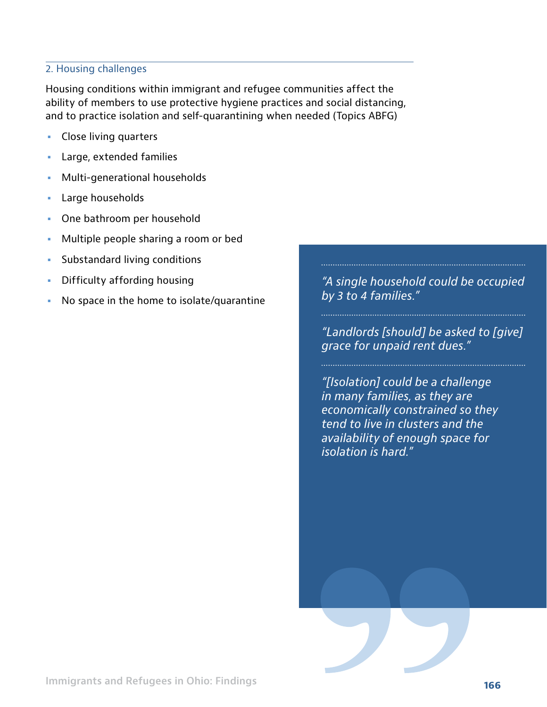#### 2. Housing challenges

Housing conditions within immigrant and refugee communities affect the ability of members to use protective hygiene practices and social distancing, and to practice isolation and self-quarantining when needed (Topics ABFG)

- **•** Close living quarters
- **•** Large, extended families
- **•** Multi-generational households
- **•** Large households
- **•** One bathroom per household
- **•** Multiple people sharing a room or bed
- **•** Substandard living conditions
- **•** Difficulty affording housing
- **•** No space in the home to isolate/quarantine

*"A single household could be occupied by 3 to 4 families."*

*"Landlords [should] be asked to [give] grace for unpaid rent dues."*

*"[Isolation] could be a challenge in many families, as they are economically constrained so they tend to live in clusters and the availability of enough space for isolation is hard."*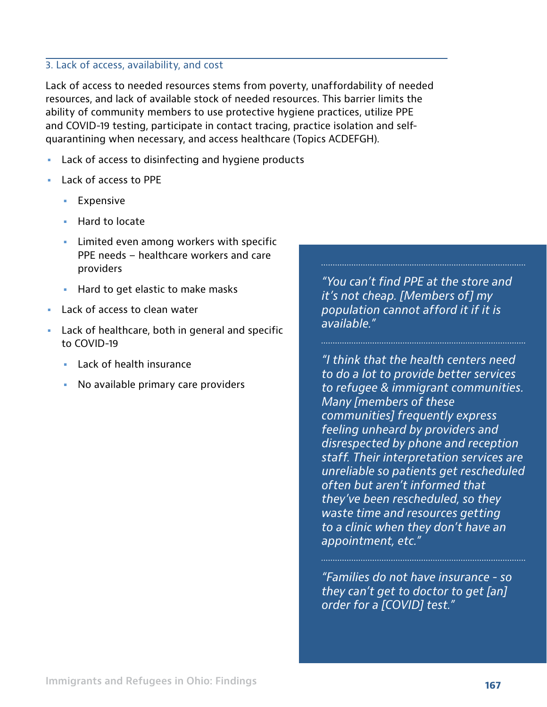#### 3. Lack of access, availability, and cost

Lack of access to needed resources stems from poverty, unaffordability of needed resources, and lack of available stock of needed resources. This barrier limits the ability of community members to use protective hygiene practices, utilize PPE and COVID-19 testing, participate in contact tracing, practice isolation and selfquarantining when necessary, and access healthcare (Topics ACDEFGH).

- **•** Lack of access to disinfecting and hygiene products
- **•** Lack of access to PPE
	- **•** Expensive
	- **•** Hard to locate
	- **•** Limited even among workers with specific PPE needs – healthcare workers and care providers
	- **•** Hard to get elastic to make masks
- **•** Lack of access to clean water
- **•** Lack of healthcare, both in general and specific to COVID-19
	- **•** Lack of health insurance
	- **•** No available primary care providers

*"You can't find PPE at the store and it's not cheap. [Members of] my population cannot afford it if it is available."* 

*"I think that the health centers need to do a lot to provide better services to refugee & immigrant communities. Many [members of these communities] frequently express feeling unheard by providers and disrespected by phone and reception staff. Their interpretation services are unreliable so patients get rescheduled often but aren't informed that they've been rescheduled, so they waste time and resources getting to a clinic when they don't have an appointment, etc."*

*"Families do not have insurance - so they can't get to doctor to get [an] order for a [COVID] test."*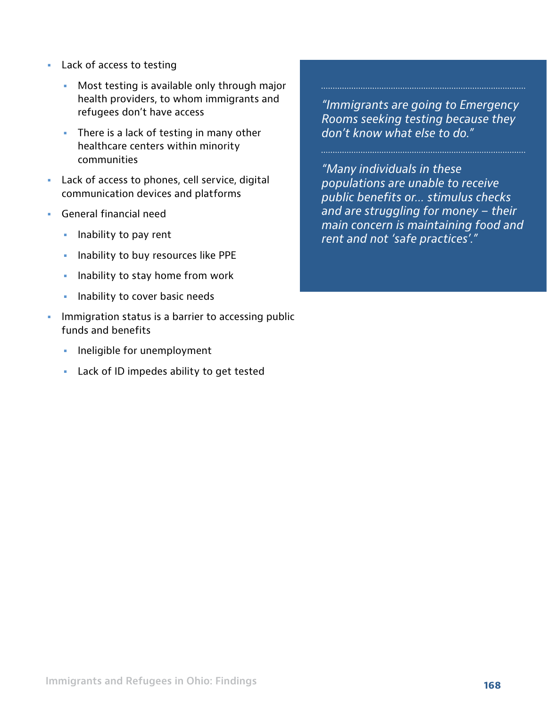- **•** Lack of access to testing
	- **•** Most testing is available only through major health providers, to whom immigrants and refugees don't have access
	- **•** There is a lack of testing in many other healthcare centers within minority communities
- **•** Lack of access to phones, cell service, digital communication devices and platforms
- **•** General financial need
	- **•** Inability to pay rent
	- **•** Inability to buy resources like PPE
	- **•** Inability to stay home from work
	- **•** Inability to cover basic needs
- **•** Immigration status is a barrier to accessing public funds and benefits
	- **•** Ineligible for unemployment
	- **•** Lack of ID impedes ability to get tested

*"Immigrants are going to Emergency Rooms seeking testing because they don't know what else to do."* 

*"Many individuals in these populations are unable to receive public benefits or… stimulus checks and are struggling for money – their main concern is maintaining food and rent and not 'safe practices'."*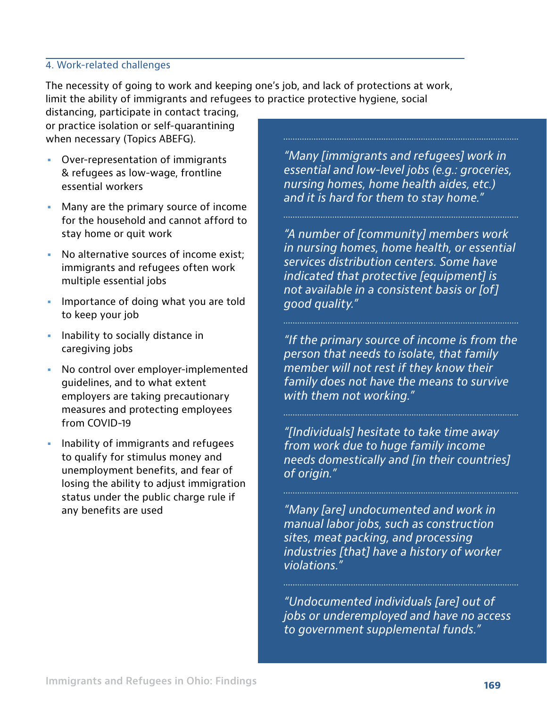#### 4. Work-related challenges

The necessity of going to work and keeping one's job, and lack of protections at work, limit the ability of immigrants and refugees to practice protective hygiene, social

distancing, participate in contact tracing, or practice isolation or self-quarantining when necessary (Topics ABEFG).

- **•** Over-representation of immigrants & refugees as low-wage, frontline essential workers
- **•** Many are the primary source of income for the household and cannot afford to stay home or quit work
- **•** No alternative sources of income exist; immigrants and refugees often work multiple essential jobs
- **•** Importance of doing what you are told to keep your job
- **•** Inability to socially distance in caregiving jobs
- **•** No control over employer-implemented guidelines, and to what extent employers are taking precautionary measures and protecting employees from COVID-19
- **•** Inability of immigrants and refugees to qualify for stimulus money and unemployment benefits, and fear of losing the ability to adjust immigration status under the public charge rule if any benefits are used

*"Many [immigrants and refugees] work in essential and low-level jobs (e.g.: groceries, nursing homes, home health aides, etc.) and it is hard for them to stay home."* 

*"A number of [community] members work in nursing homes, home health, or essential services distribution centers. Some have indicated that protective [equipment] is not available in a consistent basis or [of] good quality."*

*"If the primary source of income is from the person that needs to isolate, that family member will not rest if they know their family does not have the means to survive with them not working."*

*"[Individuals] hesitate to take time away from work due to huge family income needs domestically and [in their countries] of origin."* 

*"Many [are] undocumented and work in manual labor jobs, such as construction sites, meat packing, and processing industries [that] have a history of worker violations."*

*"Undocumented individuals [are] out of jobs or underemployed and have no access to government supplemental funds."*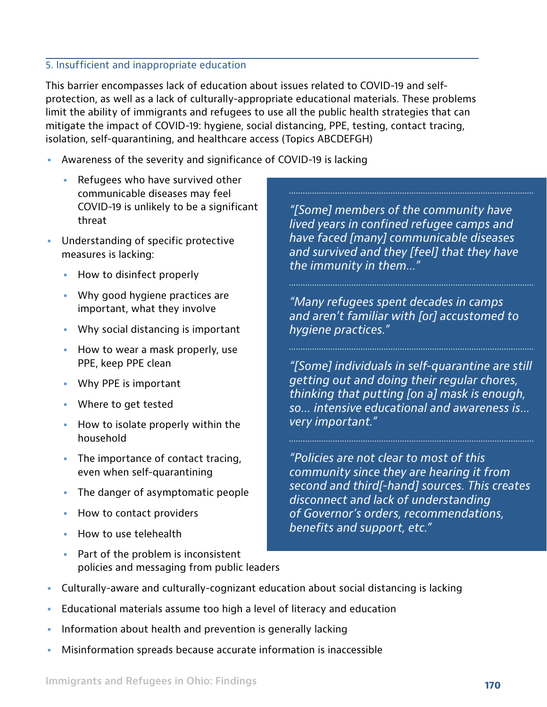#### 5. Insufficient and inappropriate education

This barrier encompasses lack of education about issues related to COVID-19 and selfprotection, as well as a lack of culturally-appropriate educational materials. These problems limit the ability of immigrants and refugees to use all the public health strategies that can mitigate the impact of COVID-19: hygiene, social distancing, PPE, testing, contact tracing, isolation, self-quarantining, and healthcare access (Topics ABCDEFGH)

- **•** Awareness of the severity and significance of COVID-19 is lacking
	- **•** Refugees who have survived other communicable diseases may feel COVID-19 is unlikely to be a significant threat
- **•** Understanding of specific protective measures is lacking:
	- **•** How to disinfect properly
	- **•** Why good hygiene practices are important, what they involve
	- **•** Why social distancing is important
	- **•** How to wear a mask properly, use PPE, keep PPE clean
	- **•** Why PPE is important
	- **•** Where to get tested
	- **•** How to isolate properly within the household
	- **•** The importance of contact tracing, even when self-quarantining
	- **•** The danger of asymptomatic people
	- **•** How to contact providers
	- **•** How to use telehealth
	- **•** Part of the problem is inconsistent policies and messaging from public leaders

*"[Some] members of the community have lived years in confined refugee camps and have faced [many] communicable diseases and survived and they [feel] that they have the immunity in them…"*

*"Many refugees spent decades in camps and aren't familiar with [or] accustomed to hygiene practices."*

*"[Some] individuals in self-quarantine are still getting out and doing their regular chores, thinking that putting [on a] mask is enough, so… intensive educational and awareness is… very important."* 

*"Policies are not clear to most of this community since they are hearing it from second and third[-hand] sources. This creates disconnect and lack of understanding of Governor's orders, recommendations, benefits and support, etc."*

- **•** Culturally-aware and culturally-cognizant education about social distancing is lacking
- **•** Educational materials assume too high a level of literacy and education
- **•** Information about health and prevention is generally lacking
- **•** Misinformation spreads because accurate information is inaccessible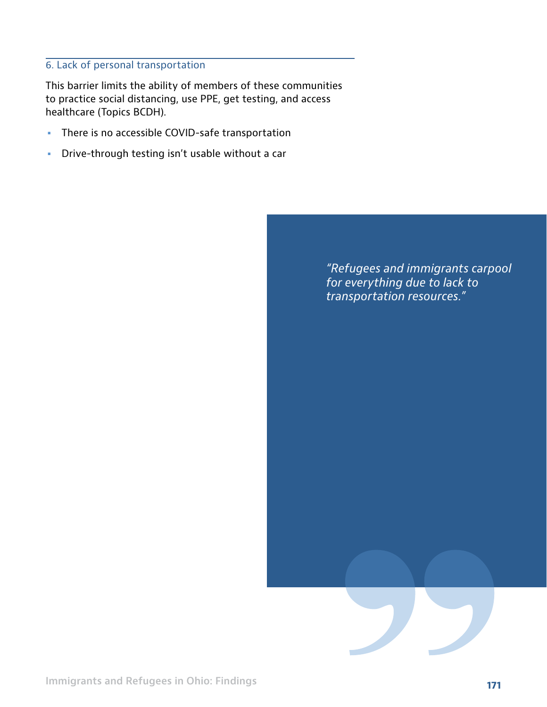#### 6. Lack of personal transportation

This barrier limits the ability of members of these communities to practice social distancing, use PPE, get testing, and access healthcare (Topics BCDH).

- **•** There is no accessible COVID-safe transportation
- **•** Drive-through testing isn't usable without a car

*"Refugees and immigrants carpool for everything due to lack to transportation resources."*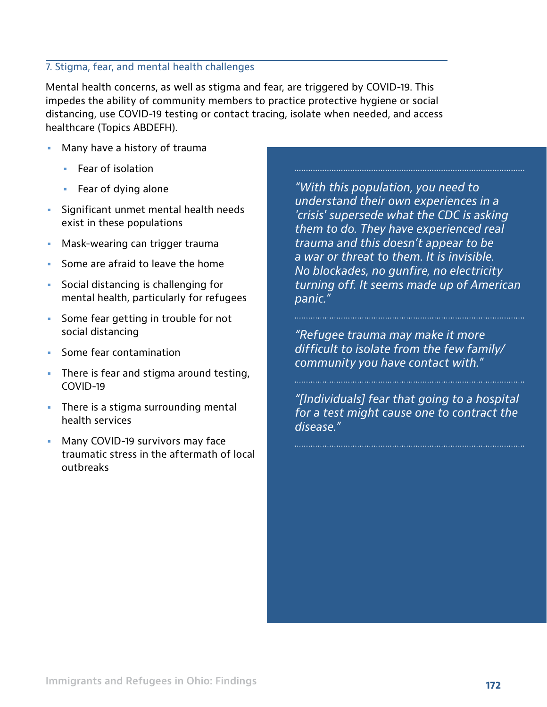#### 7. Stigma, fear, and mental health challenges

Mental health concerns, as well as stigma and fear, are triggered by COVID-19. This impedes the ability of community members to practice protective hygiene or social distancing, use COVID-19 testing or contact tracing, isolate when needed, and access healthcare (Topics ABDEFH).

- **•** Many have a history of trauma
	- **•** Fear of isolation
	- **•** Fear of dying alone
- **•** Significant unmet mental health needs exist in these populations
- **•** Mask-wearing can trigger trauma
- **•** Some are afraid to leave the home
- **•** Social distancing is challenging for mental health, particularly for refugees
- **•** Some fear getting in trouble for not social distancing
- **•** Some fear contamination
- **•** There is fear and stigma around testing, COVID-19
- **•** There is a stigma surrounding mental health services
- **•** Many COVID-19 survivors may face traumatic stress in the aftermath of local outbreaks

*"With this population, you need to understand their own experiences in a 'crisis' supersede what the CDC is asking them to do. They have experienced real trauma and this doesn't appear to be a war or threat to them. It is invisible. No blockades, no gunfire, no electricity turning off. It seems made up of American panic."* 

*"Refugee trauma may make it more difficult to isolate from the few family/ community you have contact with."* 

*"[Individuals] fear that going to a hospital for a test might cause one to contract the disease."*

**172 Immigrants and Refugees in Ohio: Findings**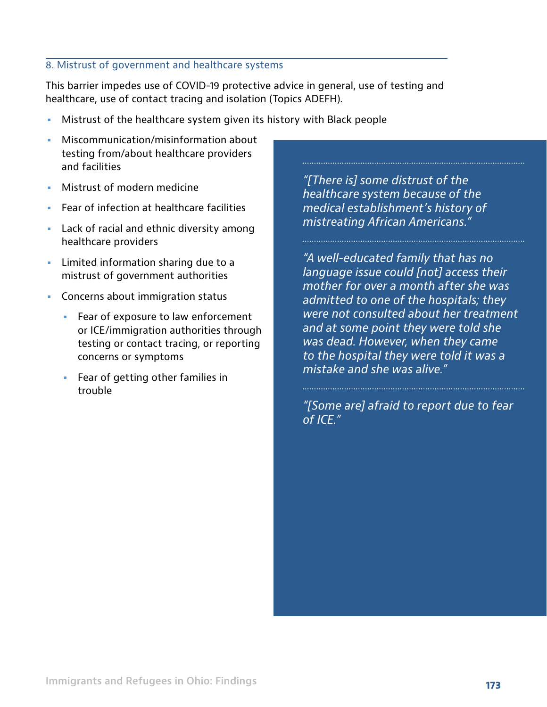#### 8. Mistrust of government and healthcare systems

This barrier impedes use of COVID-19 protective advice in general, use of testing and healthcare, use of contact tracing and isolation (Topics ADEFH).

- **•** Mistrust of the healthcare system given its history with Black people
- **•** Miscommunication/misinformation about testing from/about healthcare providers and facilities
- **•** Mistrust of modern medicine
- **•** Fear of infection at healthcare facilities
- **•** Lack of racial and ethnic diversity among healthcare providers
- **•** Limited information sharing due to a mistrust of government authorities
- **•** Concerns about immigration status
	- **•** Fear of exposure to law enforcement or ICE/immigration authorities through testing or contact tracing, or reporting concerns or symptoms
	- **•** Fear of getting other families in trouble

*"[There is] some distrust of the healthcare system because of the medical establishment's history of mistreating African Americans."* 

*"A well-educated family that has no language issue could [not] access their mother for over a month after she was admitted to one of the hospitals; they were not consulted about her treatment and at some point they were told she was dead. However, when they came to the hospital they were told it was a mistake and she was alive."*

*"[Some are] afraid to report due to fear of ICE."*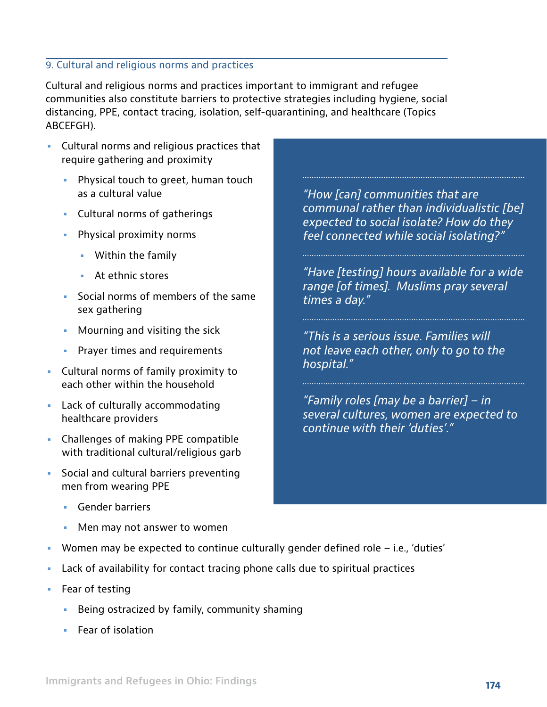#### 9. Cultural and religious norms and practices

Cultural and religious norms and practices important to immigrant and refugee communities also constitute barriers to protective strategies including hygiene, social distancing, PPE, contact tracing, isolation, self-quarantining, and healthcare (Topics ABCEFGH).

- **•** Cultural norms and religious practices that require gathering and proximity
	- **•** Physical touch to greet, human touch as a cultural value
	- **•** Cultural norms of gatherings
	- **•** Physical proximity norms
		- **•** Within the family
		- **•** At ethnic stores
	- **•** Social norms of members of the same sex gathering
	- **•** Mourning and visiting the sick
	- **•** Prayer times and requirements
- **•** Cultural norms of family proximity to each other within the household
- **•** Lack of culturally accommodating healthcare providers
- **•** Challenges of making PPE compatible with traditional cultural/religious garb
- **•** Social and cultural barriers preventing men from wearing PPE
	- **•** Gender barriers
	- **•** Men may not answer to women
- **•** Women may be expected to continue culturally gender defined role i.e., 'duties'
- **•** Lack of availability for contact tracing phone calls due to spiritual practices
- **•** Fear of testing
	- **•** Being ostracized by family, community shaming
	- **•** Fear of isolation

*"How [can] communities that are communal rather than individualistic [be] expected to social isolate? How do they feel connected while social isolating?"*

*"Have [testing] hours available for a wide range [of times]. Muslims pray several times a day."*

*"This is a serious issue. Families will not leave each other, only to go to the hospital."*

*"Family roles [may be a barrier] – in several cultures, women are expected to continue with their 'duties'."*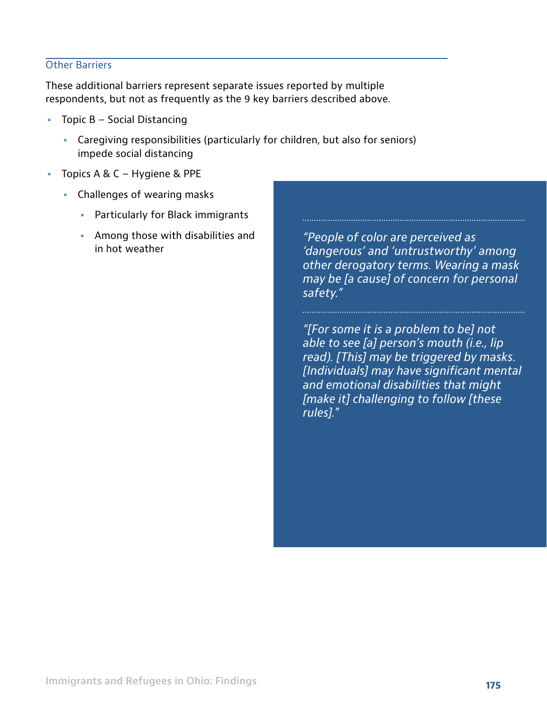#### Other Barriers

These additional barriers represent separate issues reported by multiple respondents, but not as frequently as the 9 key barriers described above.

- **•** Topic B Social Distancing
	- **•** Caregiving responsibilities (particularly for children, but also for seniors) impede social distancing
- **•** Topics A & C Hygiene & PPE
	- **•** Challenges of wearing masks
		- **•** Particularly for Black immigrants
		- **•** Among those with disabilities and in hot weather

*"People of color are perceived as 'dangerous' and 'untrustworthy' among other derogatory terms. Wearing a mask may be [a cause] of concern for personal safety."* 

*"[For some it is a problem to be] not able to see [a] person's mouth (i.e., lip read). [This] may be triggered by masks. [Individuals] may have significant mental and emotional disabilities that might [make it] challenging to follow [these rules]."*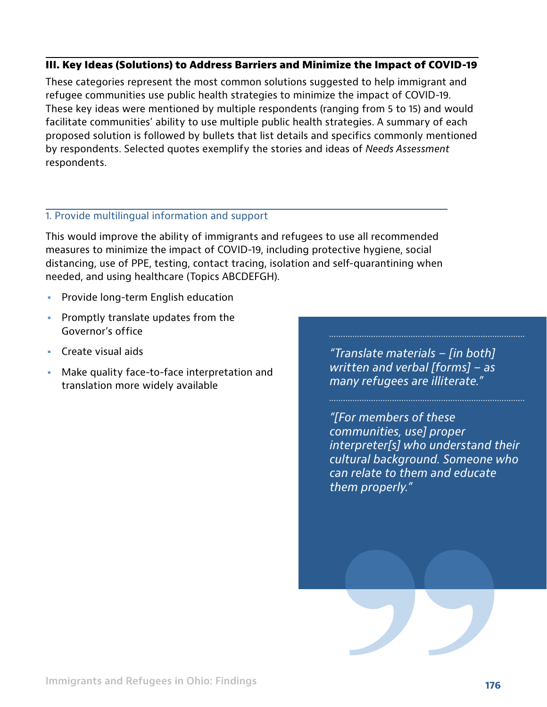#### **III. Key Ideas (Solutions) to Address Barriers and Minimize the Impact of COVID-19**

These categories represent the most common solutions suggested to help immigrant and refugee communities use public health strategies to minimize the impact of COVID-19. These key ideas were mentioned by multiple respondents (ranging from 5 to 15) and would facilitate communities' ability to use multiple public health strategies. A summary of each proposed solution is followed by bullets that list details and specifics commonly mentioned by respondents. Selected quotes exemplify the stories and ideas of *Needs Assessment* respondents.

#### 1. Provide multilingual information and support

This would improve the ability of immigrants and refugees to use all recommended measures to minimize the impact of COVID-19, including protective hygiene, social distancing, use of PPE, testing, contact tracing, isolation and self-quarantining when needed, and using healthcare (Topics ABCDEFGH).

- **•** Provide long-term English education
- **•** Promptly translate updates from the Governor's office
- **•** Create visual aids
- **•** Make quality face-to-face interpretation and translation more widely available

*"Translate materials – [in both] written and verbal [forms] – as many refugees are illiterate."* 

*"[For members of these communities, use] proper interpreter[s] who understand their cultural background. Someone who can relate to them and educate them properly."*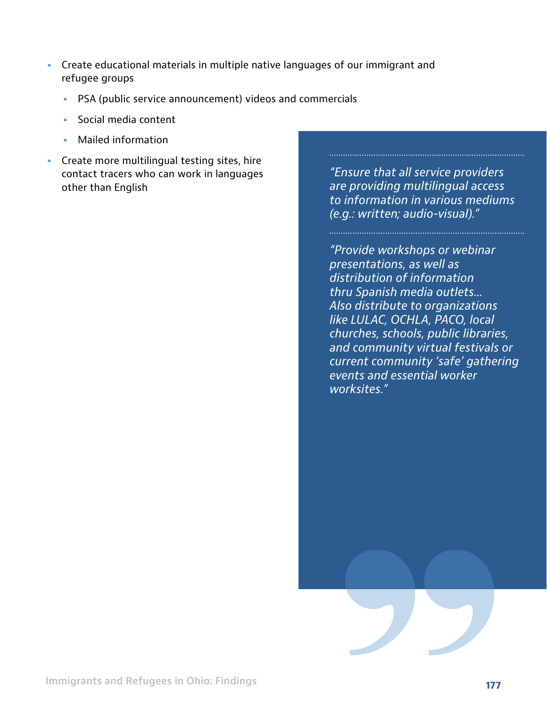- **•** Create educational materials in multiple native languages of our immigrant and refugee groups
	- **•** PSA (public service announcement) videos and commercials
	- **•** Social media content
	- **•** Mailed information
- **•** Create more multilingual testing sites, hire contact tracers who can work in languages other than English

*"Ensure that all service providers are providing multilingual access to information in various mediums (e.g.: written; audio-visual)."*

*"Provide workshops or webinar presentations, as well as distribution of information thru Spanish media outlets... Also distribute to organizations like LULAC, OCHLA, PACO, local churches, schools, public libraries, and community virtual festivals or current community 'safe' gathering events and essential worker worksites."*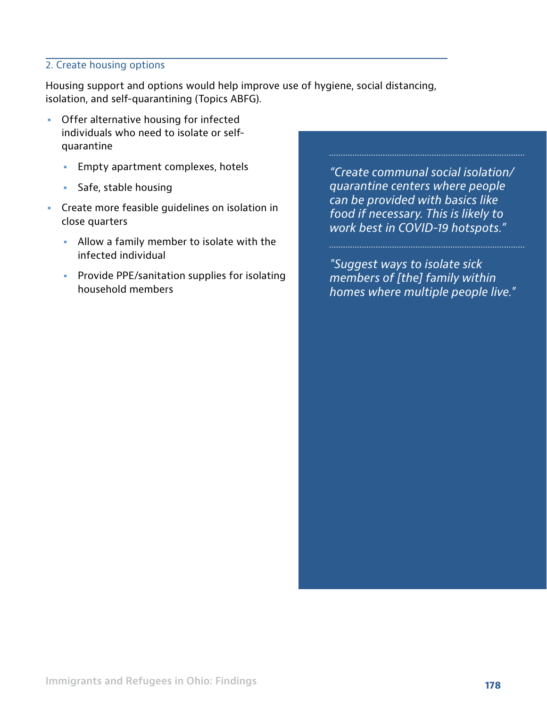#### 2. Create housing options

Housing support and options would help improve use of hygiene, social distancing, isolation, and self-quarantining (Topics ABFG).

- **•** Offer alternative housing for infected individuals who need to isolate or selfquarantine
	- **•** Empty apartment complexes, hotels
	- **•** Safe, stable housing
- **•** Create more feasible guidelines on isolation in close quarters
	- **•** Allow a family member to isolate with the infected individual
	- **•** Provide PPE/sanitation supplies for isolating household members

*"Create communal social isolation/ quarantine centers where people can be provided with basics like food if necessary. This is likely to work best in COVID-19 hotspots."*

*"Suggest ways to isolate sick members of [the] family within homes where multiple people live."*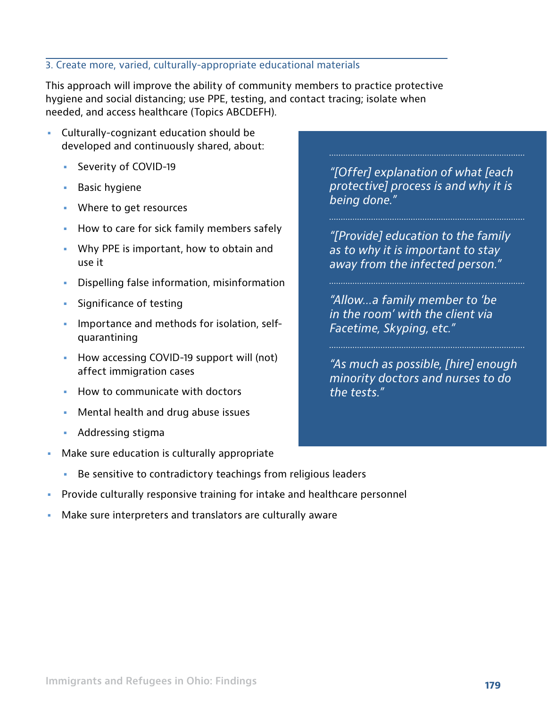#### 3. Create more, varied, culturally-appropriate educational materials

This approach will improve the ability of community members to practice protective hygiene and social distancing; use PPE, testing, and contact tracing; isolate when needed, and access healthcare (Topics ABCDEFH).

- **•** Culturally-cognizant education should be developed and continuously shared, about:
	- **•** Severity of COVID-19
	- **•** Basic hygiene
	- **•** Where to get resources
	- **•** How to care for sick family members safely
	- **•** Why PPE is important, how to obtain and use it
	- **•** Dispelling false information, misinformation
	- **•** Significance of testing
	- **•** Importance and methods for isolation, selfquarantining
	- **•** How accessing COVID-19 support will (not) affect immigration cases
	- **•** How to communicate with doctors
	- **•** Mental health and drug abuse issues
	- **•** Addressing stigma
- **•** Make sure education is culturally appropriate
	- **•** Be sensitive to contradictory teachings from religious leaders
- **•** Provide culturally responsive training for intake and healthcare personnel
- **•** Make sure interpreters and translators are culturally aware

*"[Offer] explanation of what [each protective] process is and why it is being done."* 

*"[Provide] education to the family as to why it is important to stay away from the infected person."* 

*"Allow…a family member to 'be in the room' with the client via Facetime, Skyping, etc."*

*"As much as possible, [hire] enough minority doctors and nurses to do the tests."*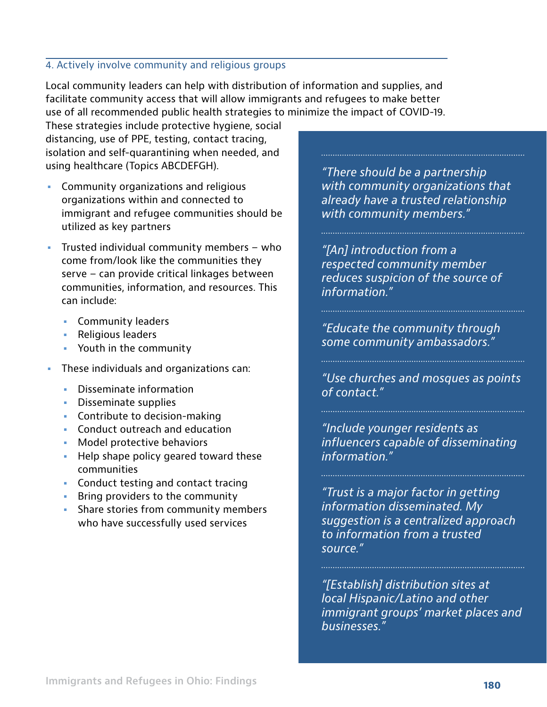#### 4. Actively involve community and religious groups

Local community leaders can help with distribution of information and supplies, and facilitate community access that will allow immigrants and refugees to make better use of all recommended public health strategies to minimize the impact of COVID-19.

These strategies include protective hygiene, social distancing, use of PPE, testing, contact tracing, isolation and self-quarantining when needed, and using healthcare (Topics ABCDEFGH).

- **•** Community organizations and religious organizations within and connected to immigrant and refugee communities should be utilized as key partners
- **•** Trusted individual community members who come from/look like the communities they serve – can provide critical linkages between communities, information, and resources. This can include:
	- **•** Community leaders
	- **•** Religious leaders
	- **•** Youth in the community
- **•** These individuals and organizations can:
	- **•** Disseminate information
	- **•** Disseminate supplies
	- **•** Contribute to decision-making
	- **•** Conduct outreach and education
	- **•** Model protective behaviors
	- **•** Help shape policy geared toward these communities
	- **•** Conduct testing and contact tracing
	- **•** Bring providers to the community
	- **•** Share stories from community members who have successfully used services

*"There should be a partnership with community organizations that already have a trusted relationship with community members."* 

*"[An] introduction from a respected community member reduces suspicion of the source of information."* 

*"Educate the community through some community ambassadors."*

*"Use churches and mosques as points of contact."*

*"Include younger residents as influencers capable of disseminating information."*

*"Trust is a major factor in getting information disseminated. My suggestion is a centralized approach to information from a trusted source."*

*"[Establish] distribution sites at local Hispanic/Latino and other immigrant groups' market places and businesses."*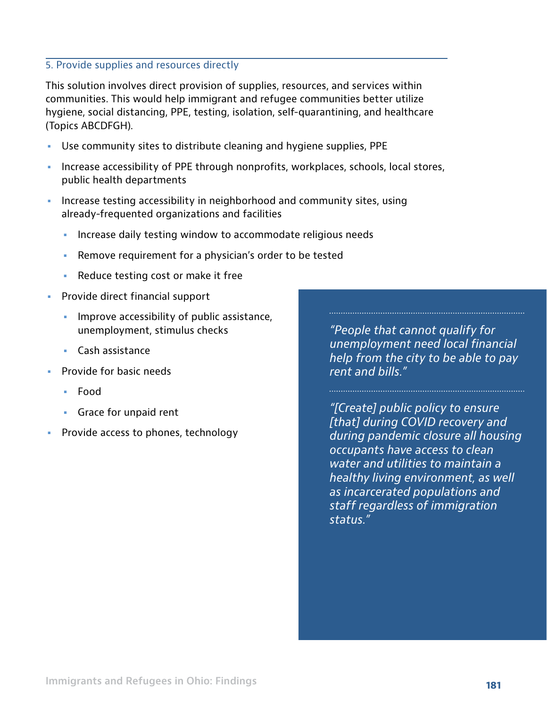#### 5. Provide supplies and resources directly

This solution involves direct provision of supplies, resources, and services within communities. This would help immigrant and refugee communities better utilize hygiene, social distancing, PPE, testing, isolation, self-quarantining, and healthcare (Topics ABCDFGH).

- **•** Use community sites to distribute cleaning and hygiene supplies, PPE
- **•** Increase accessibility of PPE through nonprofits, workplaces, schools, local stores, public health departments
- **•** Increase testing accessibility in neighborhood and community sites, using already-frequented organizations and facilities
	- **•** Increase daily testing window to accommodate religious needs
	- **•** Remove requirement for a physician's order to be tested
	- **•** Reduce testing cost or make it free
- **•** Provide direct financial support
	- **•** Improve accessibility of public assistance, unemployment, stimulus checks
	- **•** Cash assistance
- **•** Provide for basic needs
	- **•** Food
	- **•** Grace for unpaid rent
- **•** Provide access to phones, technology

*"People that cannot qualify for unemployment need local financial help from the city to be able to pay rent and bills."*

*"[Create] public policy to ensure [that] during COVID recovery and during pandemic closure all housing occupants have access to clean water and utilities to maintain a healthy living environment, as well as incarcerated populations and staff regardless of immigration status."*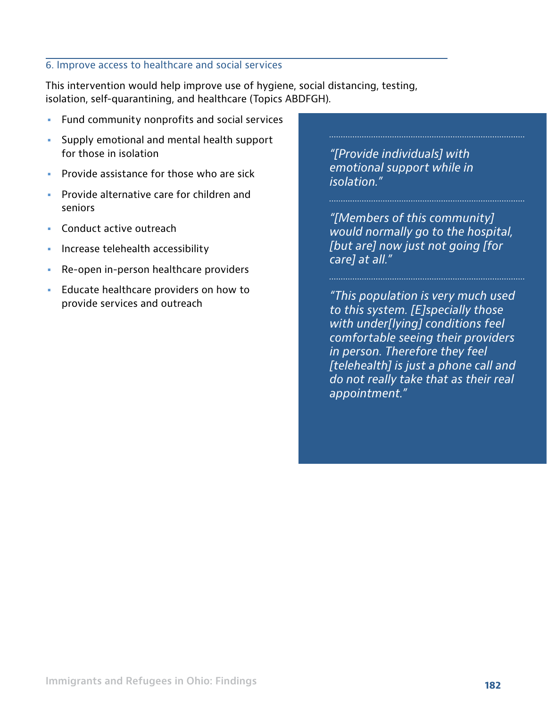#### 6. Improve access to healthcare and social services

This intervention would help improve use of hygiene, social distancing, testing, isolation, self-quarantining, and healthcare (Topics ABDFGH).

- **•** Fund community nonprofits and social services
- **•** Supply emotional and mental health support for those in isolation
- **•** Provide assistance for those who are sick
- **•** Provide alternative care for children and seniors
- **•** Conduct active outreach
- **•** Increase telehealth accessibility
- **•** Re-open in-person healthcare providers
- **•** Educate healthcare providers on how to provide services and outreach

*"[Provide individuals] with emotional support while in isolation."* 

*"[Members of this community] would normally go to the hospital, [but are] now just not going [for care] at all."* 

*"This population is very much used to this system. [E]specially those with under[lying] conditions feel comfortable seeing their providers in person. Therefore they feel [telehealth] is just a phone call and do not really take that as their real appointment."*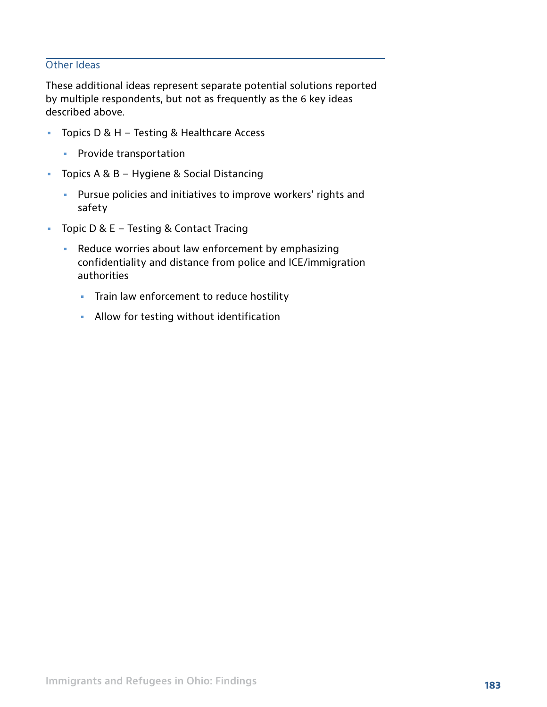#### Other Ideas

These additional ideas represent separate potential solutions reported by multiple respondents, but not as frequently as the 6 key ideas described above.

- **•** Topics D & H Testing & Healthcare Access
	- **•** Provide transportation
- **•** Topics A & B Hygiene & Social Distancing
	- **•** Pursue policies and initiatives to improve workers' rights and safety
- **•** Topic D & E Testing & Contact Tracing
	- **•** Reduce worries about law enforcement by emphasizing confidentiality and distance from police and ICE/immigration authorities
		- **•** Train law enforcement to reduce hostility
		- **•** Allow for testing without identification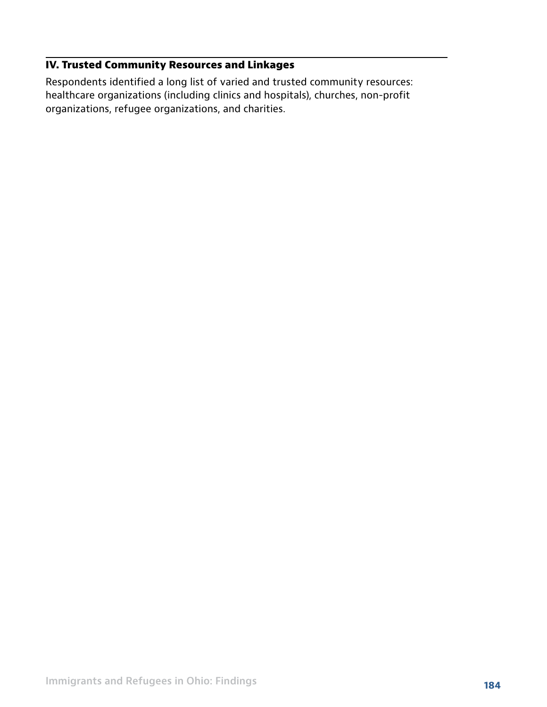#### **IV. Trusted Community Resources and Linkages**

Respondents identified a long list of varied and trusted community resources: healthcare organizations (including clinics and hospitals), churches, non-profit organizations, refugee organizations, and charities.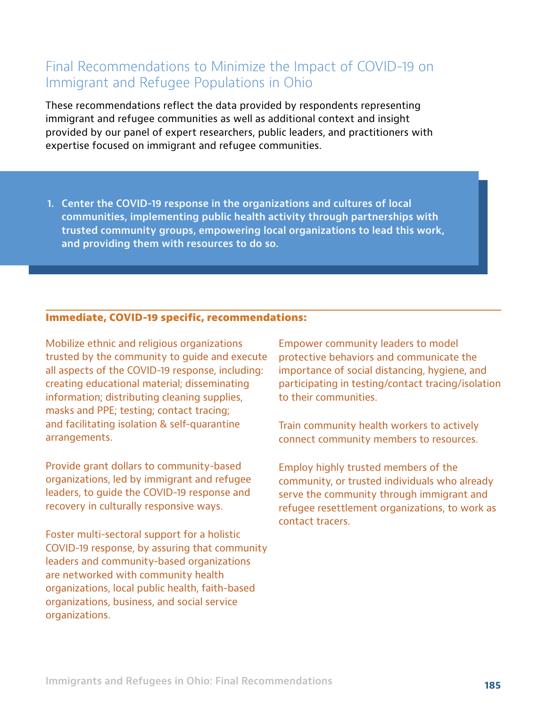## Final Recommendations to Minimize the Impact of COVID-19 on Immigrant and Refugee Populations in Ohio

These recommendations reflect the data provided by respondents representing immigrant and refugee communities as well as additional context and insight provided by our panel of expert researchers, public leaders, and practitioners with expertise focused on immigrant and refugee communities.

**1. Center the COVID-19 response in the organizations and cultures of local communities, implementing public health activity through partnerships with trusted community groups, empowering local organizations to lead this work, and providing them with resources to do so.**

#### **Immediate, COVID-19 specific, recommendations:**

Mobilize ethnic and religious organizations trusted by the community to guide and execute all aspects of the COVID-19 response, including: creating educational material; disseminating information; distributing cleaning supplies, masks and PPE; testing; contact tracing; and facilitating isolation & self-quarantine arrangements.

Provide grant dollars to community-based organizations, led by immigrant and refugee leaders, to guide the COVID-19 response and recovery in culturally responsive ways.

Foster multi-sectoral support for a holistic COVID-19 response, by assuring that community leaders and community-based organizations are networked with community health organizations, local public health, faith-based organizations, business, and social service organizations.

Empower community leaders to model protective behaviors and communicate the importance of social distancing, hygiene, and participating in testing/contact tracing/isolation to their communities.

Train community health workers to actively connect community members to resources.

Employ highly trusted members of the community, or trusted individuals who already serve the community through immigrant and refugee resettlement organizations, to work as contact tracers.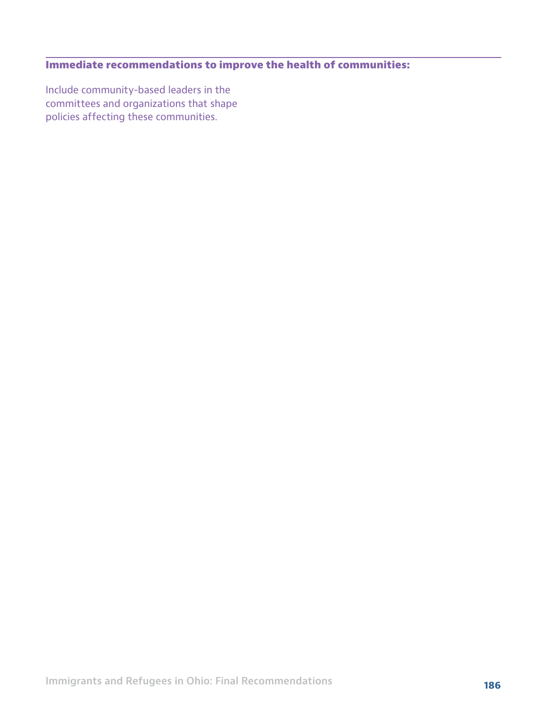## **Immediate recommendations to improve the health of communities:**

Include community-based leaders in the committees and organizations that shape policies affecting these communities.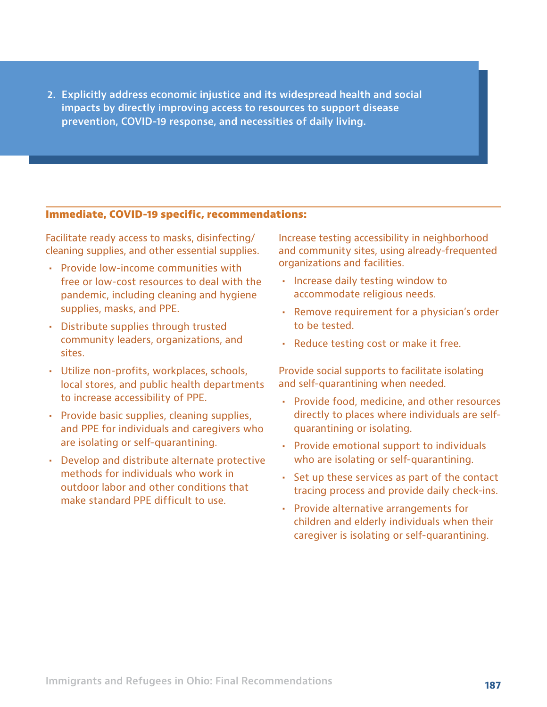**2. Explicitly address economic injustice and its widespread health and social impacts by directly improving access to resources to support disease prevention, COVID-19 response, and necessities of daily living.**

#### **Immediate, COVID-19 specific, recommendations:**

Facilitate ready access to masks, disinfecting/ cleaning supplies, and other essential supplies.

- **•** Provide low-income communities with free or low-cost resources to deal with the pandemic, including cleaning and hygiene supplies, masks, and PPE.
- **•** Distribute supplies through trusted community leaders, organizations, and sites.
- **•** Utilize non-profits, workplaces, schools, local stores, and public health departments to increase accessibility of PPE.
- **•** Provide basic supplies, cleaning supplies, and PPE for individuals and caregivers who are isolating or self-quarantining.
- **•** Develop and distribute alternate protective methods for individuals who work in outdoor labor and other conditions that make standard PPE difficult to use.

Increase testing accessibility in neighborhood and community sites, using already-frequented organizations and facilities.

- **•** Increase daily testing window to accommodate religious needs.
- **•** Remove requirement for a physician's order to be tested.
- **•** Reduce testing cost or make it free.

Provide social supports to facilitate isolating and self-quarantining when needed.

- **•** Provide food, medicine, and other resources directly to places where individuals are selfquarantining or isolating.
- **•** Provide emotional support to individuals who are isolating or self-quarantining.
- **•** Set up these services as part of the contact tracing process and provide daily check-ins.
- **•** Provide alternative arrangements for children and elderly individuals when their caregiver is isolating or self-quarantining.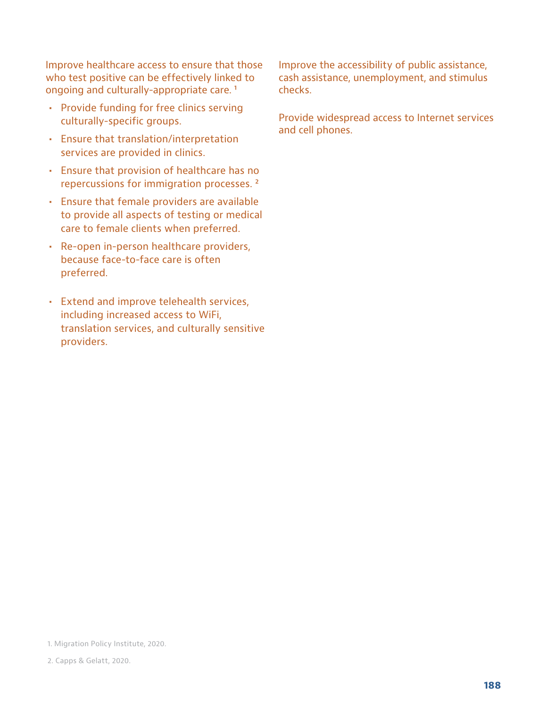Improve healthcare access to ensure that those who test positive can be effectively linked to ongoing and culturally-appropriate care.<sup>1</sup>

- **•** Provide funding for free clinics serving culturally-specific groups.
- **•** Ensure that translation/interpretation services are provided in clinics.
- **•** Ensure that provision of healthcare has no repercussions for immigration processes. ²
- **•** Ensure that female providers are available to provide all aspects of testing or medical care to female clients when preferred.
- **•** Re-open in-person healthcare providers, because face-to-face care is often preferred.
- **•** Extend and improve telehealth services, including increased access to WiFi, translation services, and culturally sensitive providers.

Improve the accessibility of public assistance, cash assistance, unemployment, and stimulus checks.

Provide widespread access to Internet services and cell phones.

1. Migration Policy Institute, 2020.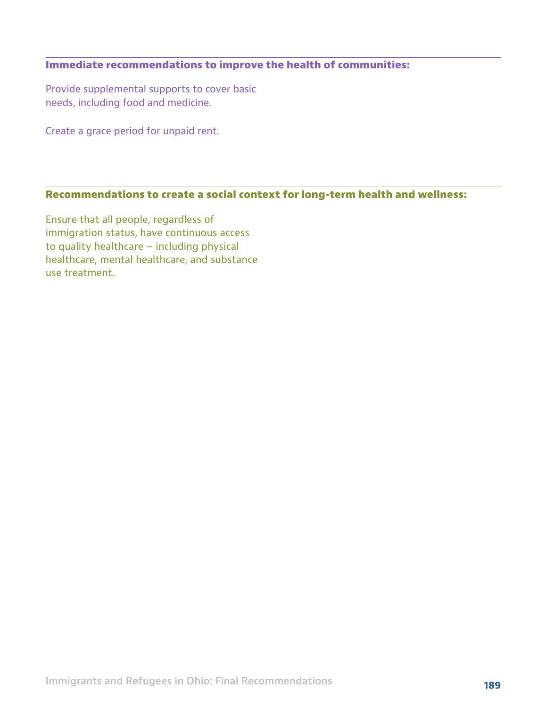#### **Immediate recommendations to improve the health of communities:**

Provide supplemental supports to cover basic needs, including food and medicine.

Create a grace period for unpaid rent.

## **Recommendations to create a social context for long-term health and wellness:**

Ensure that all people, regardless of immigration status, have continuous access to quality healthcare – including physical healthcare, mental healthcare, and substance use treatment.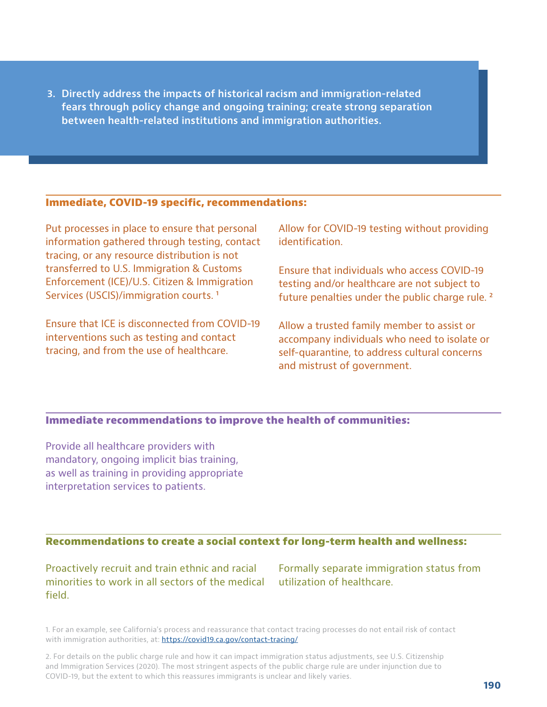**3. Directly address the impacts of historical racism and immigration-related fears through policy change and ongoing training; create strong separation between health-related institutions and immigration authorities.**

#### **Immediate, COVID-19 specific, recommendations:**

Put processes in place to ensure that personal information gathered through testing, contact tracing, or any resource distribution is not transferred to U.S. Immigration & Customs Enforcement (ICE)/U.S. Citizen & Immigration Services (USCIS)/immigration courts.<sup>1</sup>

Ensure that ICE is disconnected from COVID-19 interventions such as testing and contact tracing, and from the use of healthcare.

Allow for COVID-19 testing without providing identification.

Ensure that individuals who access COVID-19 testing and/or healthcare are not subject to future penalties under the public charge rule.<sup>2</sup>

Allow a trusted family member to assist or accompany individuals who need to isolate or self-quarantine, to address cultural concerns and mistrust of government.

#### **Immediate recommendations to improve the health of communities:**

Provide all healthcare providers with mandatory, ongoing implicit bias training, as well as training in providing appropriate interpretation services to patients.

#### **Recommendations to create a social context for long-term health and wellness:**

Proactively recruit and train ethnic and racial minorities to work in all sectors of the medical field.

Formally separate immigration status from utilization of healthcare.

1. For an example, see California's process and reassurance that contact tracing processes do not entail risk of contact with immigration authorities, at:<https://covid19.ca.gov/contact-tracing/>

2. For details on the public charge rule and how it can impact immigration status adjustments, see U.S. Citizenship and Immigration Services (2020). The most stringent aspects of the public charge rule are under injunction due to COVID-19, but the extent to which this reassures immigrants is unclear and likely varies.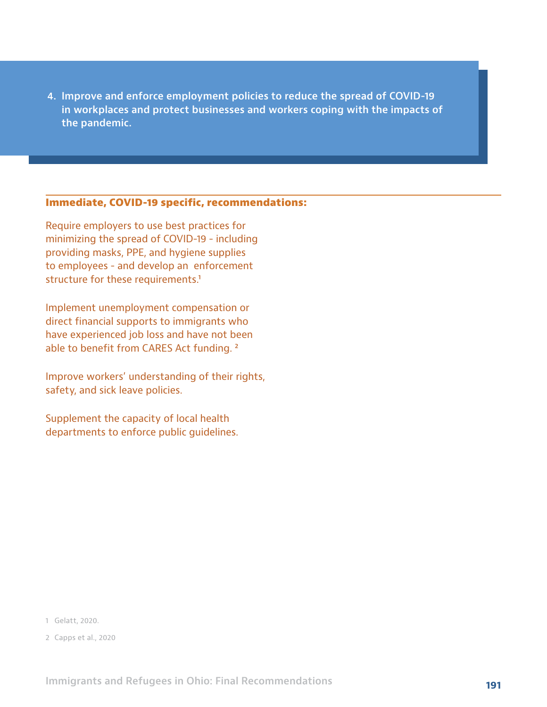**4. Improve and enforce employment policies to reduce the spread of COVID-19 in workplaces and protect businesses and workers coping with the impacts of the pandemic.**

#### **Immediate, COVID-19 specific, recommendations:**

Require employers to use best practices for minimizing the spread of COVID-19 - including providing masks, PPE, and hygiene supplies to employees - and develop an enforcement structure for these requirements.<sup>1</sup>

Implement unemployment compensation or direct financial supports to immigrants who have experienced job loss and have not been able to benefit from CARES Act funding. ²

Improve workers' understanding of their rights, safety, and sick leave policies.

Supplement the capacity of local health departments to enforce public guidelines.

- 1 Gelatt, 2020.
- 2 Capps et al., 2020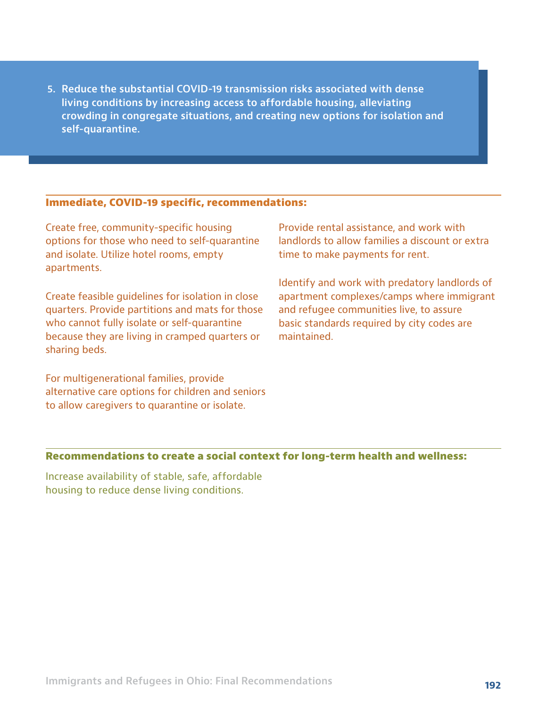**5. Reduce the substantial COVID-19 transmission risks associated with dense living conditions by increasing access to affordable housing, alleviating crowding in congregate situations, and creating new options for isolation and self-quarantine.**

#### **Immediate, COVID-19 specific, recommendations:**

Create free, community-specific housing options for those who need to self-quarantine and isolate. Utilize hotel rooms, empty apartments.

Create feasible guidelines for isolation in close quarters. Provide partitions and mats for those who cannot fully isolate or self-quarantine because they are living in cramped quarters or sharing beds.

For multigenerational families, provide alternative care options for children and seniors to allow caregivers to quarantine or isolate.

Provide rental assistance, and work with landlords to allow families a discount or extra time to make payments for rent.

Identify and work with predatory landlords of apartment complexes/camps where immigrant and refugee communities live, to assure basic standards required by city codes are maintained.

#### **Recommendations to create a social context for long-term health and wellness:**

Increase availability of stable, safe, affordable housing to reduce dense living conditions.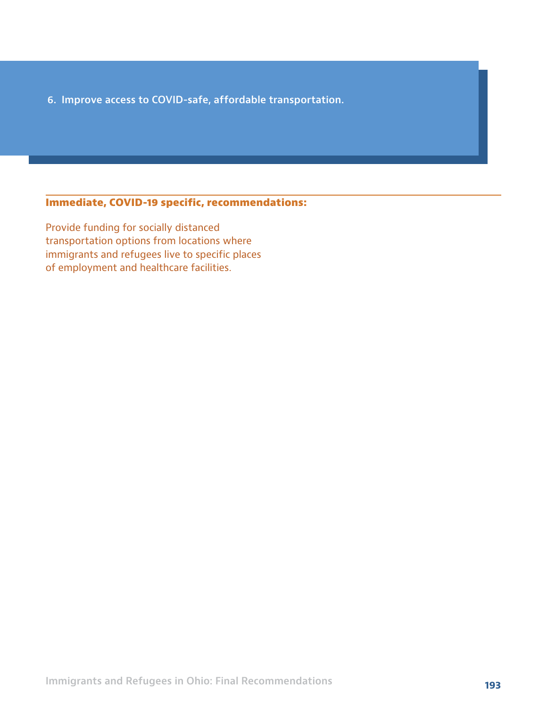**6. Improve access to COVID-safe, affordable transportation.**

#### **Immediate, COVID-19 specific, recommendations:**

Provide funding for socially distanced transportation options from locations where immigrants and refugees live to specific places of employment and healthcare facilities.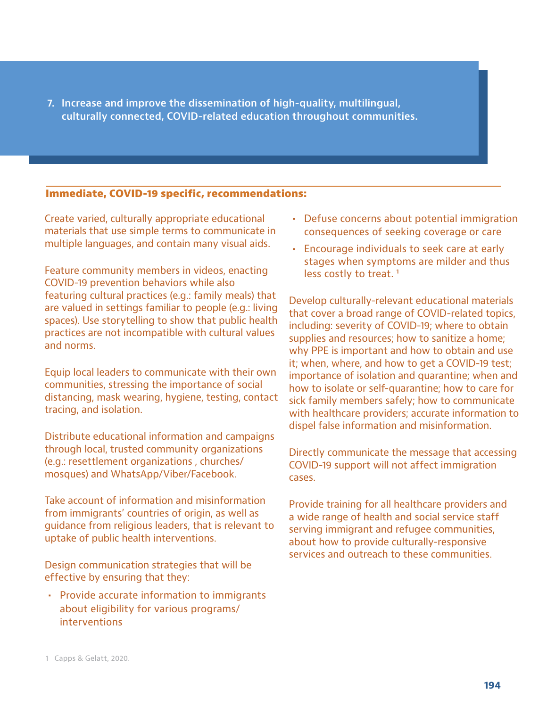**7. Increase and improve the dissemination of high-quality, multilingual, culturally connected, COVID-related education throughout communities.**

#### **Immediate, COVID-19 specific, recommendations:**

Create varied, culturally appropriate educational materials that use simple terms to communicate in multiple languages, and contain many visual aids.

Feature community members in videos, enacting COVID-19 prevention behaviors while also featuring cultural practices (e.g.: family meals) that are valued in settings familiar to people (e.g.: living spaces). Use storytelling to show that public health practices are not incompatible with cultural values and norms.

Equip local leaders to communicate with their own communities, stressing the importance of social distancing, mask wearing, hygiene, testing, contact tracing, and isolation.

Distribute educational information and campaigns through local, trusted community organizations (e.g.: resettlement organizations , churches/ mosques) and WhatsApp/Viber/Facebook.

Take account of information and misinformation from immigrants' countries of origin, as well as guidance from religious leaders, that is relevant to uptake of public health interventions.

Design communication strategies that will be effective by ensuring that they:

**•** Provide accurate information to immigrants about eligibility for various programs/ interventions

- **•** Defuse concerns about potential immigration consequences of seeking coverage or care
- **•** Encourage individuals to seek care at early stages when symptoms are milder and thus less costly to treat.<sup>1</sup>

Develop culturally-relevant educational materials that cover a broad range of COVID-related topics, including: severity of COVID-19; where to obtain supplies and resources; how to sanitize a home; why PPE is important and how to obtain and use it; when, where, and how to get a COVID-19 test; importance of isolation and quarantine; when and how to isolate or self-quarantine; how to care for sick family members safely; how to communicate with healthcare providers; accurate information to dispel false information and misinformation.

Directly communicate the message that accessing COVID-19 support will not affect immigration cases.

Provide training for all healthcare providers and a wide range of health and social service staff serving immigrant and refugee communities, about how to provide culturally-responsive services and outreach to these communities.

<sup>1</sup> Capps & Gelatt, 2020.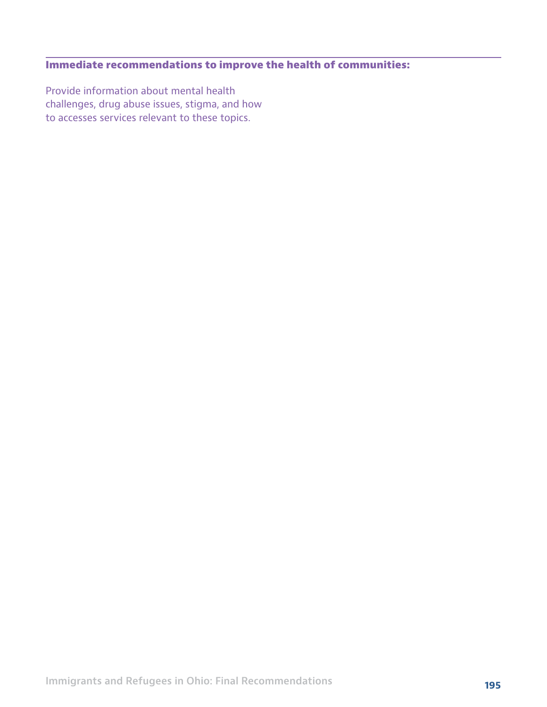## **Immediate recommendations to improve the health of communities:**

Provide information about mental health challenges, drug abuse issues, stigma, and how to accesses services relevant to these topics.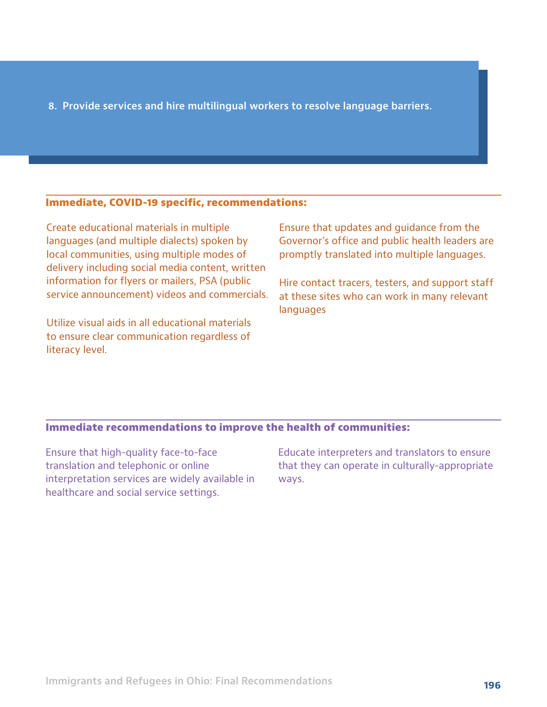#### **8. Provide services and hire multilingual workers to resolve language barriers.**

#### **Immediate, COVID-19 specific, recommendations:**

Create educational materials in multiple languages (and multiple dialects) spoken by local communities, using multiple modes of delivery including social media content, written information for flyers or mailers, PSA (public service announcement) videos and commercials.

Utilize visual aids in all educational materials to ensure clear communication regardless of literacy level.

Ensure that updates and guidance from the Governor's office and public health leaders are promptly translated into multiple languages.

Hire contact tracers, testers, and support staff at these sites who can work in many relevant languages

#### **Immediate recommendations to improve the health of communities:**

Ensure that high-quality face-to-face translation and telephonic or online interpretation services are widely available in healthcare and social service settings.

Educate interpreters and translators to ensure that they can operate in culturally-appropriate ways.